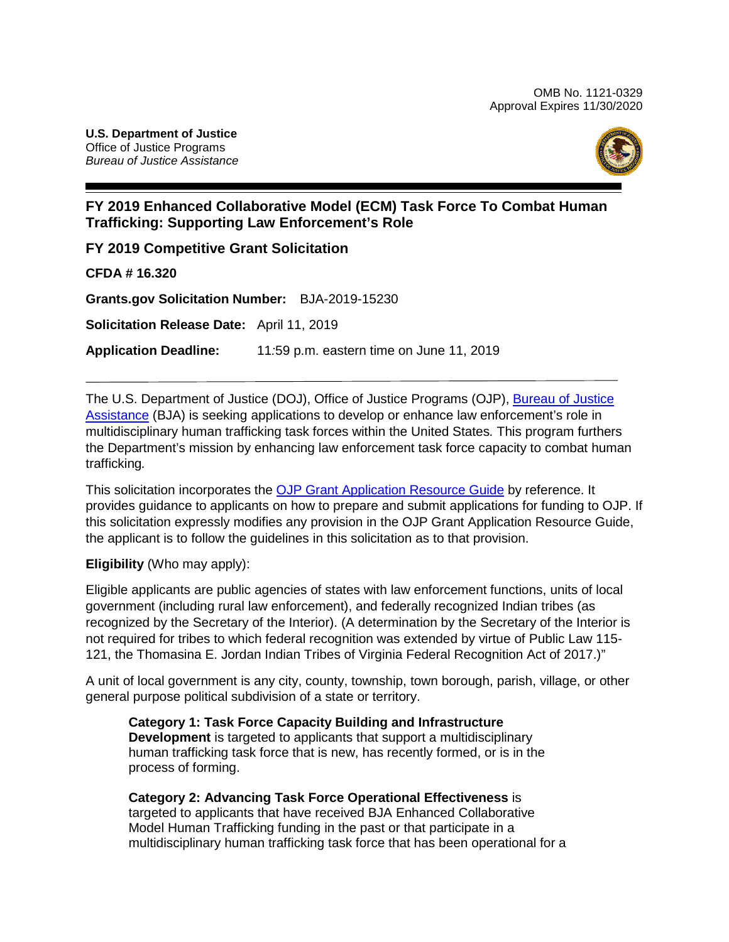

# **FY 2019 Enhanced Collaborative Model (ECM) Task Force To Combat Human Trafficking: Supporting Law Enforcement's Role**

**FY 2019 Competitive Grant Solicitation**

**CFDA # 16.320**

**Grants.gov Solicitation Number:** BJA-2019-15230

**Solicitation Release Date:** April 11, 2019

**Application Deadline:** 11*:*59 p.m. eastern time on June 11, 2019

The [U.S. Department of Justice](https://www.usdoj.gov/) (DOJ), Office [of Justice Programs](https://www.ojp.usdoj.gov/) (OJP), [Bureau of Justice](https://www.bja.gov/)  [Assistance](https://www.bja.gov/) (BJA) is seeking applications to develop or enhance law enforcement's role in multidisciplinary human trafficking task forces within the United States*.* This program furthers the Department's mission by enhancing law enforcement task force capacity to combat human trafficking*.* 

This solicitation incorporates the [OJP Grant Application Resource Guide](https://www.ojp.gov/funding/Apply/Resources/Grant-App-Resource-Guide.htm) by reference. It provides guidance to applicants on how to prepare and submit applications for funding to OJP. If this solicitation expressly modifies any provision in the OJP Grant Application Resource Guide, the applicant is to follow the guidelines in this solicitation as to that provision.

**Eligibility** (Who may apply):

Eligible applicants are public agencies of states with law enforcement functions, units of local government (including rural law enforcement), and federally recognized Indian tribes (as recognized by the Secretary of the Interior). (A determination by the Secretary of the Interior is not required for tribes to which federal recognition was extended by virtue of Public Law 115- 121, the Thomasina E. Jordan Indian Tribes of Virginia Federal Recognition Act of 2017.)"

A unit of local government is any city, county, township, town borough, parish, village, or other general purpose political subdivision of a state or territory.

**Category 1: Task Force Capacity Building and Infrastructure Development** is targeted to applicants that support a multidisciplinary human trafficking task force that is new, has recently formed, or is in the process of forming.

**Category 2: Advancing Task Force Operational Effectiveness** is

targeted to applicants that have received BJA Enhanced Collaborative Model Human Trafficking funding in the past or that participate in a multidisciplinary human trafficking task force that has been operational for a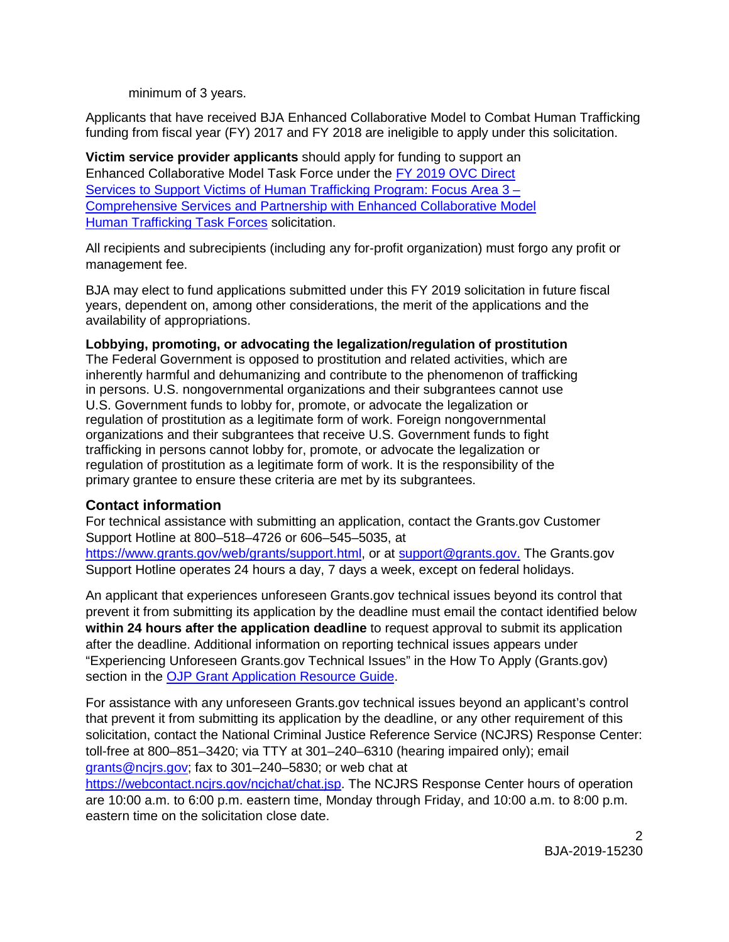minimum of 3 years.

Applicants that have received BJA Enhanced Collaborative Model to Combat Human Trafficking funding from fiscal year (FY) 2017 and FY 2018 are ineligible to apply under this solicitation.

**Victim service provider applicants** should apply for funding to support an Enhanced Collaborative Model Task Force under the [FY 2019 OVC Direct](https://ovc.ncjrs.gov/Solicitation.aspx)  [Services to Support Victims of Human Trafficking Program: Focus Area 3 –](https://ovc.ncjrs.gov/Solicitation.aspx)  [Comprehensive Services and Partnership with Enhanced Collaborative Model](https://ovc.ncjrs.gov/Solicitation.aspx)  [Human Trafficking Task Forces](https://ovc.ncjrs.gov/Solicitation.aspx) solicitation.

All recipients and subrecipients (including any for-profit organization) must forgo any profit or management fee.

BJA may elect to fund applications submitted under this FY 2019 solicitation in future fiscal years, dependent on, among other considerations, the merit of the applications and the availability of appropriations.

#### **Lobbying, promoting, or advocating the legalization/regulation of prostitution**

The Federal Government is opposed to prostitution and related activities, which are inherently harmful and dehumanizing and contribute to the phenomenon of trafficking in persons. U.S. nongovernmental organizations and their subgrantees cannot use U.S. Government funds to lobby for, promote, or advocate the legalization or regulation of prostitution as a legitimate form of work. Foreign nongovernmental organizations and their subgrantees that receive U.S. Government funds to fight trafficking in persons cannot lobby for, promote, or advocate the legalization or regulation of prostitution as a legitimate form of work. It is the responsibility of the primary grantee to ensure these criteria are met by its subgrantees.

# **Contact information**

For technical assistance with submitting an application, contact the Grants.gov Customer Support Hotline at 800–518–4726 or 606–545–5035, at [https://www.grants.gov/web/grants/support.html,](https://www.grants.gov/web/grants/support.html) or at [support@grants.gov.](mailto:support@grants.gov) The Grants.gov

Support Hotline operates 24 hours a day, 7 days a week, except on federal holidays.

An applicant that experiences unforeseen Grants.gov technical issues beyond its control that prevent it from submitting its application by the deadline must email the contact identified below **within 24 hours after the application deadline** to request approval to submit its application after the deadline. Additional information on reporting technical issues appears under "Experiencing Unforeseen Grants.gov Technical Issues" in the How To Apply (Grants.gov) section in the [OJP Grant Application Resource Guide.](https://www.ojp.gov/funding/Apply/Resources/Grant-App-Resource-Guide.htm)

For assistance with any unforeseen Grants.gov technical issues beyond an applicant's control that prevent it from submitting its application by the deadline, or any other requirement of this solicitation, contact the National Criminal Justice Reference Service (NCJRS) Response Center: toll-free at 800–851–3420; via TTY at 301–240–6310 (hearing impaired only); email [grants@ncjrs.gov;](mailto:grants@ncjrs.gov) fax to 301–240–5830; or web chat at

[https://webcontact.ncjrs.gov/ncjchat/chat.jsp.](https://webcontact.ncjrs.gov/ncjchat/chat.jsp) The NCJRS Response Center hours of operation are 10:00 a.m. to 6:00 p.m. eastern time, Monday through Friday, and 10:00 a.m. to 8:00 p.m. eastern time on the solicitation close date.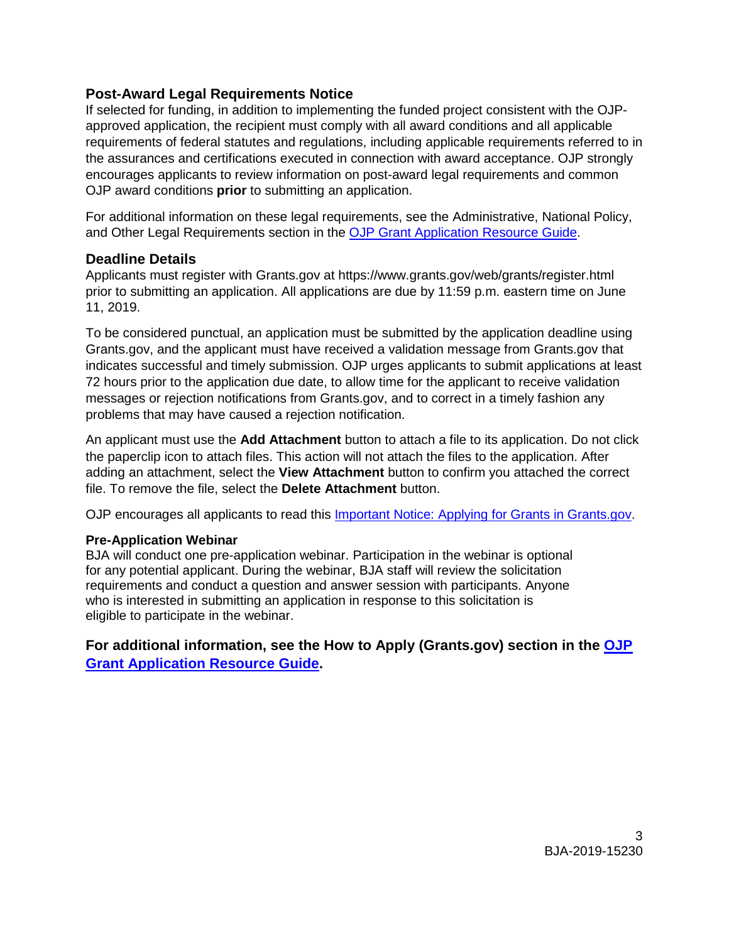# **Post-Award Legal Requirements Notice**

If selected for funding, in addition to implementing the funded project consistent with the OJPapproved application, the recipient must comply with all award conditions and all applicable requirements of federal statutes and regulations, including applicable requirements referred to in the assurances and certifications executed in connection with award acceptance. OJP strongly encourages applicants to review information on post-award legal requirements and common OJP award conditions **prior** to submitting an application.

For additional information on these legal requirements, see the Administrative, National Policy, and Other Legal Requirements section in the [OJP Grant Application Resource Guide.](https://www.ojp.gov/funding/Apply/Resources/Grant-App-Resource-Guide.htm)

#### **Deadline Details**

Applicants must register with Grants.gov at<https://www.grants.gov/web/grants/register.html> prior to submitting an application. All applications are due by 11:59 p.m. eastern time on June 11, 2019.

To be considered punctual, an application must be submitted by the application deadline using Grants.gov, and the applicant must have received a validation message from Grants.gov that indicates successful and timely submission. OJP urges applicants to submit applications at least 72 hours prior to the application due date, to allow time for the applicant to receive validation messages or rejection notifications from Grants.gov, and to correct in a timely fashion any problems that may have caused a rejection notification.

An applicant must use the **Add Attachment** button to attach a file to its application. Do not click the paperclip icon to attach files. This action will not attach the files to the application. After adding an attachment, select the **View Attachment** button to confirm you attached the correct file. To remove the file, select the **Delete Attachment** button.

OJP encourages all applicants to read this [Important Notice: Applying for Grants in Grants.gov.](https://ojp.gov/funding/Apply/Grants-govInfo.htm)

#### **Pre-Application Webinar**

BJA will conduct one pre-application webinar. Participation in the webinar is optional for any potential applicant. During the webinar, BJA staff will review the solicitation requirements and conduct a question and answer session with participants. Anyone who is interested in submitting an application in response to this solicitation is eligible to participate in the webinar.

**For additional information, see the How to Apply (Grants.gov) section in the [OJP](https://www.ojp.gov/funding/Apply/Resources/Grant-App-Resource-Guide.htm)  [Grant Application Resource Guide.](https://www.ojp.gov/funding/Apply/Resources/Grant-App-Resource-Guide.htm)**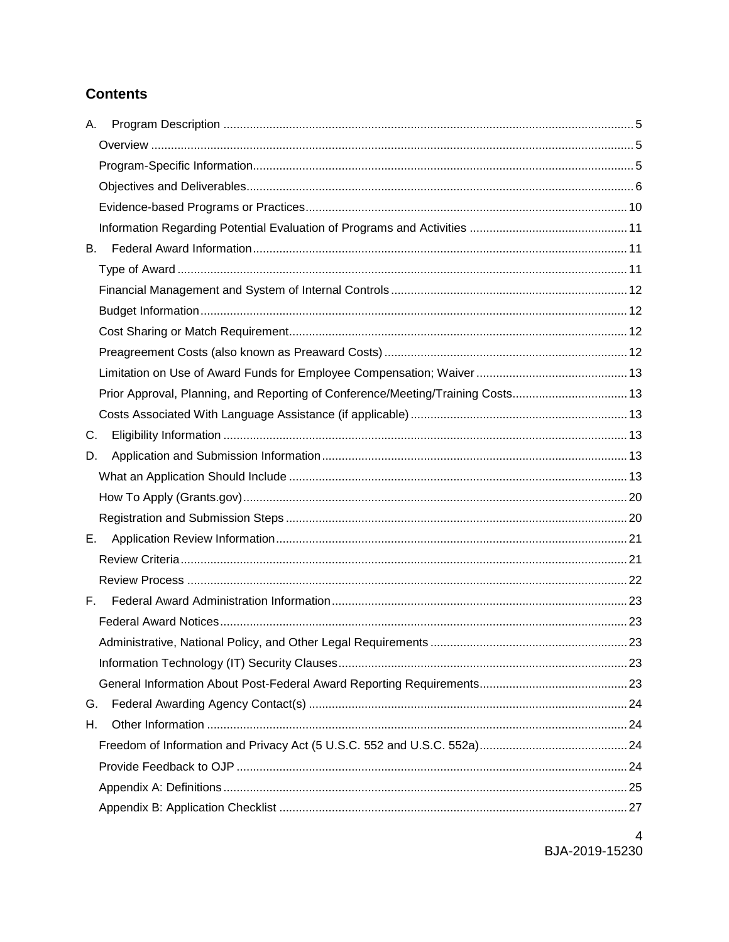# **Contents**

| А. |                                                                                 |  |
|----|---------------------------------------------------------------------------------|--|
|    |                                                                                 |  |
|    |                                                                                 |  |
|    |                                                                                 |  |
|    |                                                                                 |  |
|    |                                                                                 |  |
| В. |                                                                                 |  |
|    |                                                                                 |  |
|    |                                                                                 |  |
|    |                                                                                 |  |
|    |                                                                                 |  |
|    |                                                                                 |  |
|    |                                                                                 |  |
|    | Prior Approval, Planning, and Reporting of Conference/Meeting/Training Costs 13 |  |
|    |                                                                                 |  |
| C. |                                                                                 |  |
| D. |                                                                                 |  |
|    |                                                                                 |  |
|    |                                                                                 |  |
|    |                                                                                 |  |
| Е. |                                                                                 |  |
|    |                                                                                 |  |
|    |                                                                                 |  |
| E. |                                                                                 |  |
|    |                                                                                 |  |
|    |                                                                                 |  |
|    |                                                                                 |  |
|    |                                                                                 |  |
| G. |                                                                                 |  |
| Η. |                                                                                 |  |
|    |                                                                                 |  |
|    |                                                                                 |  |
|    |                                                                                 |  |
|    |                                                                                 |  |
|    |                                                                                 |  |

 $\overline{4}$ BJA-2019-15230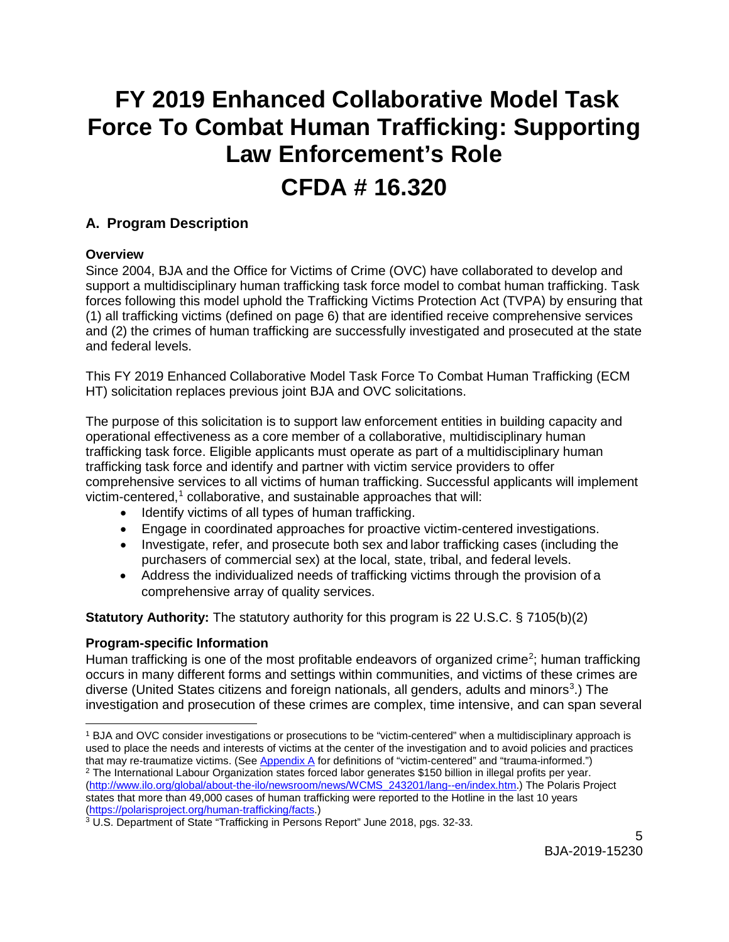# **FY 2019 Enhanced Collaborative Model Task Force To Combat Human Trafficking: Supporting Law Enforcement's Role**

# **CFDA # 16.320**

# <span id="page-4-0"></span>**A. Program Description**

# <span id="page-4-1"></span>**Overview**

Since 2004, BJA and the Office for Victims of Crime (OVC) have collaborated to develop and support a multidisciplinary human trafficking task force model to combat human trafficking. Task forces following this model uphold the Trafficking Victims Protection Act (TVPA) by ensuring that (1) all trafficking victims (defined on page 6) that are identified receive comprehensive services and (2) the crimes of human trafficking are successfully investigated and prosecuted at the state and federal levels.

This FY 2019 Enhanced Collaborative Model Task Force To Combat Human Trafficking (ECM HT) solicitation replaces previous joint BJA and OVC solicitations.

The purpose of this solicitation is to support law enforcement entities in building capacity and operational effectiveness as a core member of a collaborative, multidisciplinary human trafficking task force. Eligible applicants must operate as part of a multidisciplinary human trafficking task force and identify and partner with victim service providers to offer comprehensive services to all victims of human trafficking. Successful applicants will implement victim-centered, $1$  collaborative, and sustainable approaches that will:

- Identify victims of all types of human trafficking.
- Engage in coordinated approaches for proactive victim-centered investigations.
- Investigate, refer, and prosecute both sex and labor trafficking cases (including the purchasers of commercial sex) at the local, state, tribal, and federal levels.
- Address the individualized needs of trafficking victims through the provision of a comprehensive array of quality services.

**Statutory Authority:** The statutory authority for this program is 22 U.S.C. § 7105(b)(2)

# <span id="page-4-2"></span>**Program-***s***pecific Information**

<span id="page-4-3"></span>Human trafficking is one of the most profitable endeavors of organized crime<sup>[2](#page-4-5)</sup>; human trafficking occurs in many different forms and settings within communities, and victims of these crimes are diverse (United States citizens and foreign nationals, all genders, adults and minors<sup>[3](#page-4-6)</sup>.) The investigation and prosecution of these crimes are complex, time intensive, and can span several

<span id="page-4-5"></span><span id="page-4-4"></span> $\overline{a}$ <sup>1</sup> BJA and OVC consider investigations or prosecutions to be "victim-centered" when a multidisciplinary approach is used to place the needs and interests of victims at the center of the investigation and to avoid policies and practices that may re-traumatize victims. (Se[e Appendix A f](#page-24-0)or definitions of "victim-centered" and "trauma-informed.") <sup>2</sup> The International Labour Organization states forced labor generates \$150 billion in illegal profits per year. [\(http://www.ilo.org/global/about-the-ilo/newsroom/news/WCMS\\_243201/lang--en/index.htm.](http://www.ilo.org/global/about-the-ilo/newsroom/news/WCMS_243201/lang--en/index.htm)) The Polaris Project states that more than 49,000 cases of human trafficking were reported to the Hotline in the last 10 years (https://polarisproject.org/human-trafficking/facts.)

<span id="page-4-6"></span><sup>&</sup>lt;sup>3</sup> U.S. Department of State "Trafficking in Persons Report" June 2018, pgs. 32-33.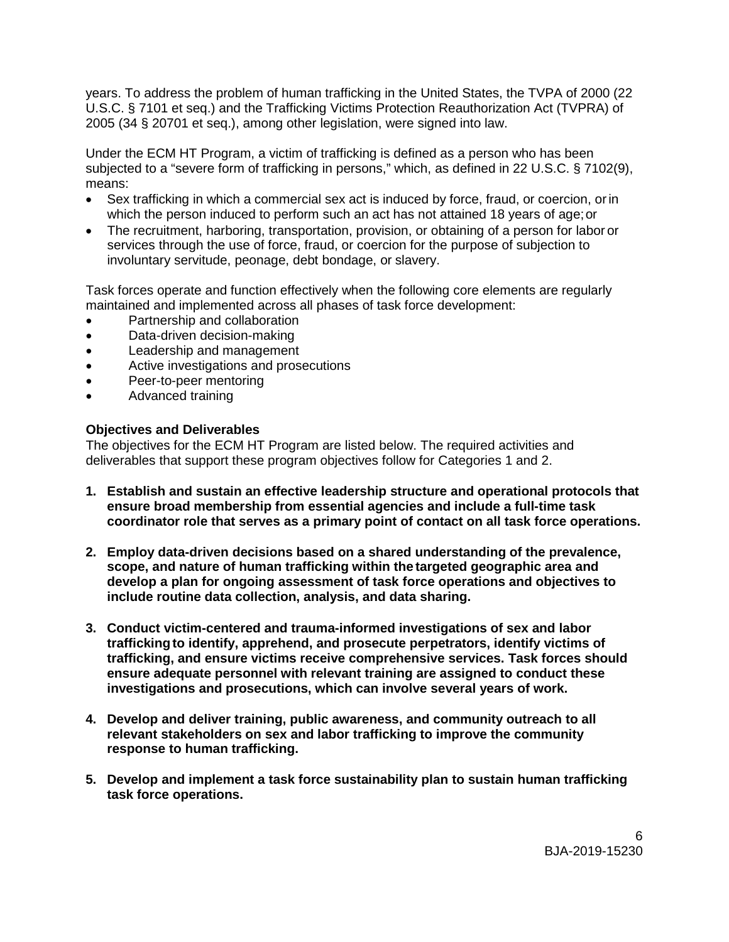years. To address the problem of human trafficking in the United States, the TVPA of 2000 (22 U.S.C. § 7101 et seq.) and the Trafficking Victims Protection Reauthorization Act (TVPRA) of 2005 (34 § 20701 et seq.), among other legislation, were signed into law.

Under the ECM HT Program, a victim of trafficking is defined as a person who has been subjected to a "severe form of trafficking in persons," which, as defined in 22 U.S.C. § 7102(9), means:

- Sex trafficking in which a commercial sex act is induced by force, fraud, or coercion, or in which the person induced to perform such an act has not attained 18 years of age;or
- The recruitment, harboring, transportation, provision, or obtaining of a person for labor or services through the use of force, fraud, or coercion for the purpose of subjection to involuntary servitude, peonage, debt bondage, or slavery.

Task forces operate and function effectively when the following core elements are regularly maintained and implemented across all phases of task force development:

- Partnership and collaboration
- Data-driven decision-making
- Leadership and management
- Active investigations and prosecutions
- Peer-to-peer mentoring
- Advanced training

# **Objectives and Deliverables**

The objectives for the ECM HT Program are listed below. The required activities and deliverables that support these program objectives follow for Categories 1 and 2.

- **1. Establish and sustain an effective leadership structure and operational protocols that ensure broad membership from essential agencies and include a full-time task coordinator role that serves as a primary point of contact on all task force operations.**
- **2. Employ data-driven decisions based on a shared understanding of the prevalence, scope, and nature of human trafficking within the targeted geographic area and develop a plan for ongoing assessment of task force operations and objectives to include routine data collection, analysis, and data sharing.**
- **3. Conduct victim-centered and trauma-informed investigations of sex and labor traffickingto identify, apprehend, and prosecute perpetrators, identify victims of trafficking, and ensure victims receive comprehensive services. Task forces should ensure adequate personnel with relevant training are assigned to conduct these investigations and prosecutions, which can involve several years of work.**
- **4. Develop and deliver training, public awareness, and community outreach to all relevant stakeholders on sex and labor trafficking to improve the community response to human trafficking.**
- **5. Develop and implement a task force sustainability plan to sustain human trafficking task force operations.**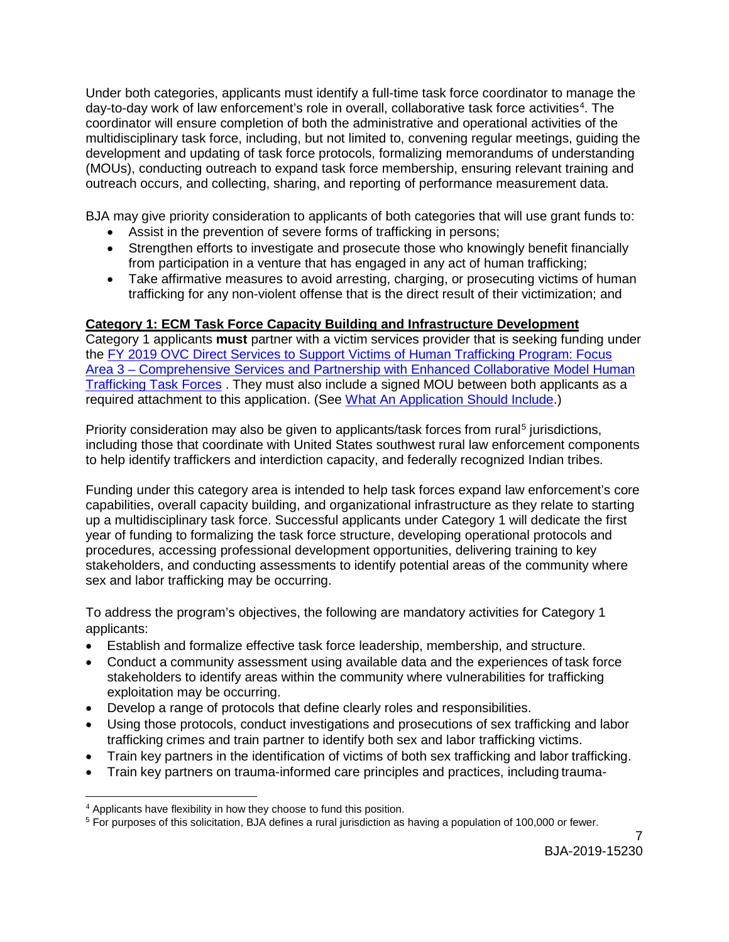Under both categories, applicants must identify a full-time task force coordinator to manage the day-to-day work of law enforcement's role in overall, collaborative task force activities<sup>[4](#page-6-0)</sup>. The coordinator will ensure completion of both the administrative and operational activities of the multidisciplinary task force, including, but not limited to, convening regular meetings, guiding the development and updating of task force protocols, formalizing memorandums of understanding (MOUs), conducting outreach to expand task force membership, ensuring relevant training and outreach occurs, and collecting, sharing, and reporting of performance measurement data.

BJA may give priority consideration to applicants of both categories that will use grant funds to:

- Assist in the prevention of severe forms of trafficking in persons;
- Strengthen efforts to investigate and prosecute those who knowingly benefit financially from participation in a venture that has engaged in any act of human trafficking;
- Take affirmative measures to avoid arresting, charging, or prosecuting victims of human trafficking for any non-violent offense that is the direct result of their victimization; and

# **Category 1: ECM Task Force Capacity Building and Infrastructure Development**

Category 1 applicants **must** partner with a victim services provider that is seeking funding under the [FY 2019 OVC Direct Services to Support Victims of Human Trafficking Program: Focus](https://ovc.ncjrs.gov/Solicitation.aspx)  Area 3 – [Comprehensive Services and Partnership with Enhanced Collaborative Model Human](https://ovc.ncjrs.gov/Solicitation.aspx)  [Trafficking Task Forces](https://ovc.ncjrs.gov/Solicitation.aspx) . They must also include a signed MOU between both applicants as a required attachment to this application. (See [What An Application Should Include.](#page-12-5))

Priority consideration may also be given to applicants/task forces from rural<sup>[5](#page-6-1)</sup> jurisdictions, including those that coordinate with United States southwest rural law enforcement components to help identify traffickers and interdiction capacity, and federally recognized Indian tribes.

Funding under this category area is intended to help task forces expand law enforcement's core capabilities, overall capacity building, and organizational infrastructure as they relate to starting up a multidisciplinary task force. Successful applicants under Category 1 will dedicate the first year of funding to formalizing the task force structure, developing operational protocols and procedures, accessing professional development opportunities, delivering training to key stakeholders, and conducting assessments to identify potential areas of the community where sex and labor trafficking may be occurring.

To address the program's objectives, the following are mandatory activities for Category 1 applicants:

- Establish and formalize effective task force leadership, membership, and structure.
- Conduct a community assessment using available data and the experiences of task force stakeholders to identify areas within the community where vulnerabilities for trafficking exploitation may be occurring.
- Develop a range of protocols that define clearly roles and responsibilities.
- Using those protocols, conduct investigations and prosecutions of sex trafficking and labor trafficking crimes and train partner to identify both sex and labor trafficking victims.
- Train key partners in the identification of victims of both sex trafficking and labor trafficking.
- Train key partners on trauma-informed care principles and practices, including trauma-

<span id="page-6-0"></span> $\ddot{ }$ <sup>4</sup> Applicants have flexibility in how they choose to fund this position.

<span id="page-6-1"></span><sup>5</sup> For purposes of this solicitation, BJA defines a rural jurisdiction as having a population of 100,000 or fewer.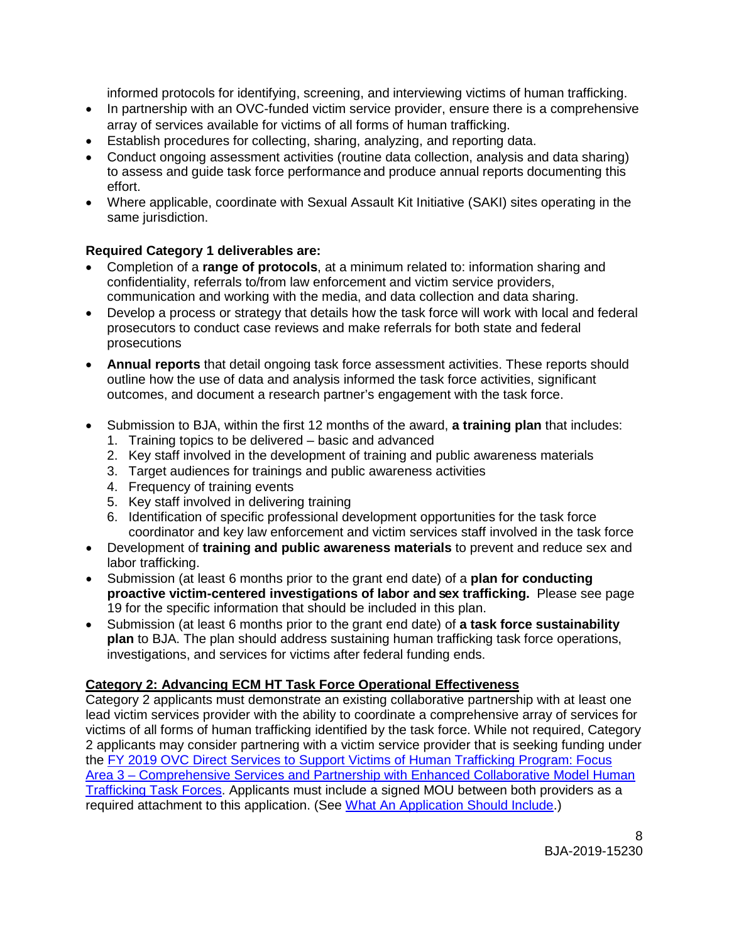informed protocols for identifying, screening, and interviewing victims of human trafficking.

- In partnership with an OVC-funded victim service provider, ensure there is a comprehensive array of services available for victims of all forms of human trafficking.
- Establish procedures for collecting, sharing, analyzing, and reporting data.
- Conduct ongoing assessment activities (routine data collection, analysis and data sharing) to assess and guide task force performance and produce annual reports documenting this effort.
- Where applicable, coordinate with Sexual Assault Kit Initiative (SAKI) sites operating in the same jurisdiction.

# **Required Category 1 deliverables are:**

- Completion of a **range of protocols**, at a minimum related to: information sharing and confidentiality, referrals to/from law enforcement and victim service providers, communication and working with the media, and data collection and data sharing.
- Develop a process or strategy that details how the task force will work with local and federal prosecutors to conduct case reviews and make referrals for both state and federal prosecutions
- **Annual reports** that detail ongoing task force assessment activities. These reports should outline how the use of data and analysis informed the task force activities, significant outcomes, and document a research partner's engagement with the task force.
- Submission to BJA, within the first 12 months of the award, **a training plan** that includes:
	- 1. Training topics to be delivered basic and advanced
	- 2. Key staff involved in the development of training and public awareness materials
	- 3. Target audiences for trainings and public awareness activities
	- 4. Frequency of training events
	- 5. Key staff involved in delivering training
	- 6. Identification of specific professional development opportunities for the task force coordinator and key law enforcement and victim services staff involved in the task force
- Development of **training and public awareness materials** to prevent and reduce sex and labor trafficking.
- Submission (at least 6 months prior to the grant end date) of a **plan for conducting proactive victim-centered investigations of labor and sex trafficking.** Please see page 19 for the specific information that should be included in this plan.
- Submission (at least 6 months prior to the grant end date) of **a task force sustainability plan** to BJA. The plan should address sustaining human trafficking task force operations, investigations, and services for victims after federal funding ends.

# **Category 2: Advancing ECM HT Task Force Operational Effectiveness**

Category 2 applicants must demonstrate an existing collaborative partnership with at least one lead victim services provider with the ability to coordinate a comprehensive array of services for victims of all forms of human trafficking identified by the task force. While not required, Category 2 applicants may consider partnering with a victim service provider that is seeking funding under the [FY 2019 OVC Direct Services to Support Victims of Human Trafficking Program: Focus](https://ovc.ncjrs.gov/Solicitation.aspx)  [Area 3 – Comprehensive Services and Partnership with Enhanced Collaborative Model Human](https://ovc.ncjrs.gov/Solicitation.aspx)  [Trafficking Task Forces.](https://ovc.ncjrs.gov/Solicitation.aspx) Applicants must include a signed MOU between both providers as a required attachment to this application. (See [What An Application Should Include.](#page-12-5))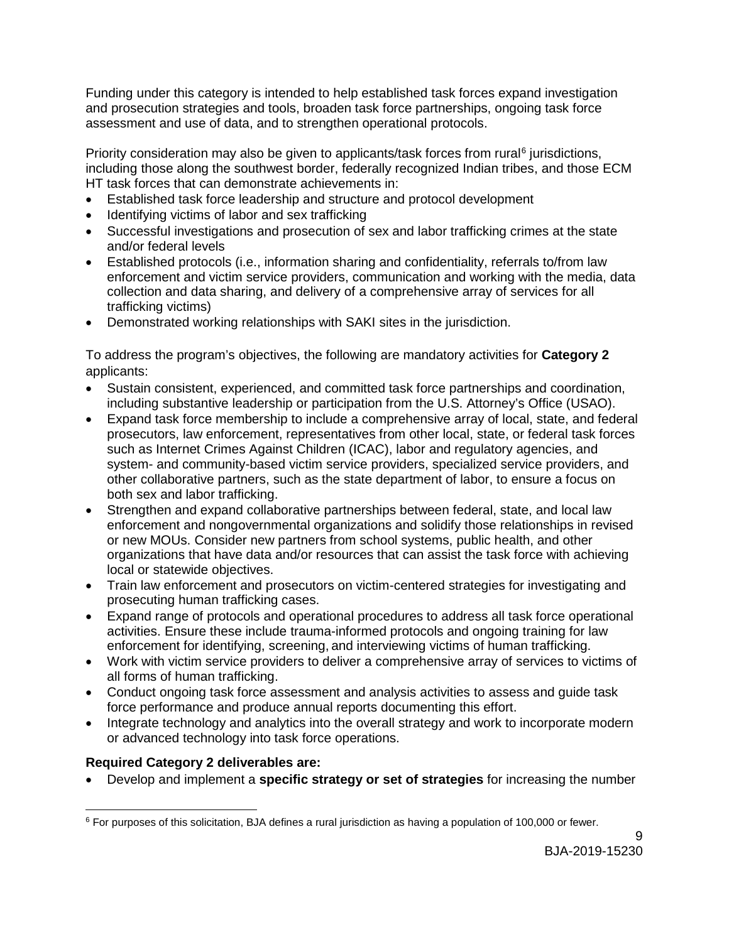Funding under this category is intended to help established task forces expand investigation and prosecution strategies and tools, broaden task force partnerships, ongoing task force assessment and use of data, and to strengthen operational protocols.

Priority consideration may also be given to applicants/task forces from rural<sup>[6](#page-8-0)</sup> jurisdictions, including those along the southwest border, federally recognized Indian tribes, and those ECM HT task forces that can demonstrate achievements in:

- Established task force leadership and structure and protocol development
- Identifying victims of labor and sex trafficking
- Successful investigations and prosecution of sex and labor trafficking crimes at the state and/or federal levels
- Established protocols (i.e., information sharing and confidentiality, referrals to/from law enforcement and victim service providers, communication and working with the media, data collection and data sharing, and delivery of a comprehensive array of services for all trafficking victims)
- Demonstrated working relationships with SAKI sites in the jurisdiction.

To address the program's objectives, the following are mandatory activities for **Category 2** applicants:

- Sustain consistent, experienced, and committed task force partnerships and coordination, including substantive leadership or participation from the U.S. Attorney's Office (USAO).
- Expand task force membership to include a comprehensive array of local, state, and federal prosecutors, law enforcement, representatives from other local, state, or federal task forces such as Internet Crimes Against Children (ICAC), labor and regulatory agencies, and system- and community-based victim service providers, specialized service providers, and other collaborative partners, such as the state department of labor, to ensure a focus on both sex and labor trafficking.
- Strengthen and expand collaborative partnerships between federal, state, and local law enforcement and nongovernmental organizations and solidify those relationships in revised or new MOUs. Consider new partners from school systems, public health, and other organizations that have data and/or resources that can assist the task force with achieving local or statewide objectives.
- Train law enforcement and prosecutors on victim-centered strategies for investigating and prosecuting human trafficking cases.
- Expand range of protocols and operational procedures to address all task force operational activities. Ensure these include trauma-informed protocols and ongoing training for law enforcement for identifying, screening, and interviewing victims of human trafficking.
- Work with victim service providers to deliver a comprehensive array of services to victims of all forms of human trafficking.
- Conduct ongoing task force assessment and analysis activities to assess and guide task force performance and produce annual reports documenting this effort.
- Integrate technology and analytics into the overall strategy and work to incorporate modern or advanced technology into task force operations.

# **Required Category 2 deliverables are:**

• Develop and implement a **specific strategy or set of strategies** for increasing the number

<span id="page-8-0"></span> <sup>6</sup> For purposes of this solicitation, BJA defines a rural jurisdiction as having a population of 100,000 or fewer.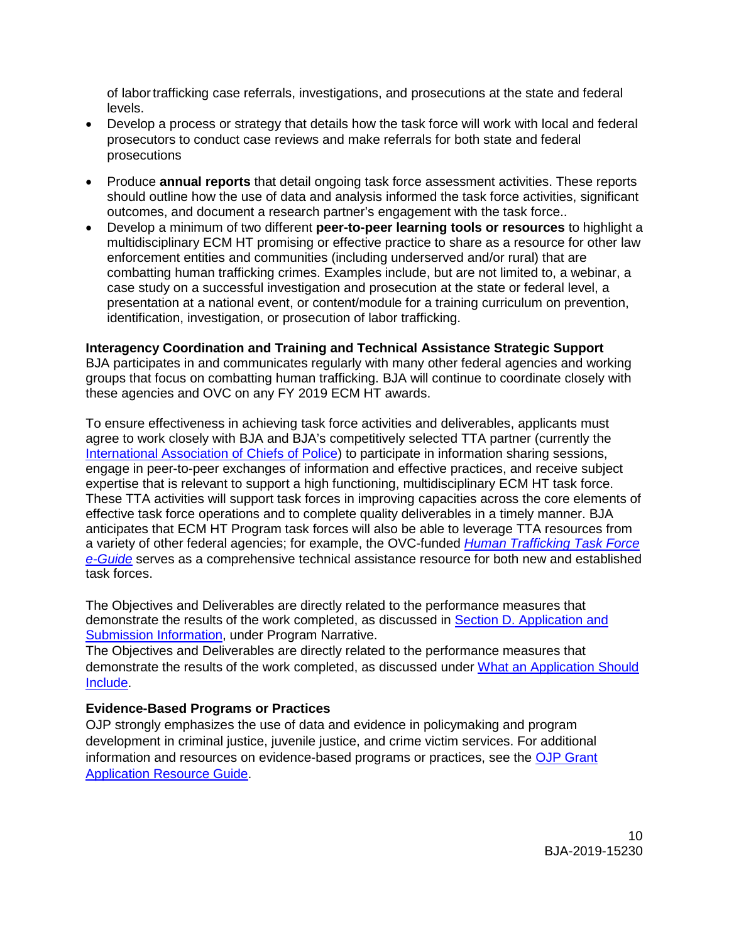of labortrafficking case referrals, investigations, and prosecutions at the state and federal levels.

- Develop a process or strategy that details how the task force will work with local and federal prosecutors to conduct case reviews and make referrals for both state and federal prosecutions
- Produce **annual reports** that detail ongoing task force assessment activities. These reports should outline how the use of data and analysis informed the task force activities, significant outcomes, and document a research partner's engagement with the task force..
- Develop a minimum of two different **peer-to-peer learning tools or resources** to highlight a multidisciplinary ECM HT promising or effective practice to share as a resource for other law enforcement entities and communities (including underserved and/or rural) that are combatting human trafficking crimes. Examples include, but are not limited to, a webinar, a case study on a successful investigation and prosecution at the state or federal level, a presentation at a national event, or content/module for a training curriculum on prevention, identification, investigation, or prosecution of labor trafficking.

#### **Interagency Coordination and Training and Technical Assistance Strategic Support**

BJA participates in and communicates regularly with many other federal agencies and working groups that focus on combatting human trafficking. BJA will continue to coordinate closely with these agencies and OVC on any FY 2019 ECM HT awards.

To ensure effectiveness in achieving task force activities and deliverables, applicants must agree to work closely with BJA and BJA's competitively selected TTA partner (currently the [International Association of Chiefs of Police\)](https://www.theiacp.org/projects/anti-human-trafficking-training-and-technical-assistance) to participate in information sharing sessions, engage in peer-to-peer exchanges of information and effective practices, and receive subject expertise that is relevant to support a high functioning, multidisciplinary ECM HT task force. These TTA activities will support task forces in improving capacities across the core elements of effective task force operations and to complete quality deliverables in a timely manner. BJA anticipates that ECM HT Program task forces will also be able to leverage TTA resources from a variety of other federal agencies; for example, the OVC-funded *[Human Trafficking Task Force](https://www.ovcttac.gov/taskforceguide/eguide/)  [e-Guide](https://www.ovcttac.gov/taskforceguide/eguide/)* serves as a comprehensive technical assistance resource for both new and established task forces.

The Objectives and Deliverables are directly related to the performance measures that demonstrate the results of the work completed, as discussed in Section D. Application and Submission Information, under Program Narrative.

The Objectives and Deliverables are directly related to the performance measures that demonstrate the results of the work completed, as discussed under [What an Application Should](#page-12-5)  [Include.](#page-12-5)

#### <span id="page-9-0"></span>**Evidence-Based Programs or Practices**

OJP strongly emphasizes the use of data and evidence in policymaking and program development in criminal justice, juvenile justice, and crime victim services. For additional information and resources on evidence-based programs or practices, see the [OJP Grant](https://www.ojp.gov/funding/Apply/Resources/Grant-App-Resource-Guide.htm)  [Application Resource Guide.](https://www.ojp.gov/funding/Apply/Resources/Grant-App-Resource-Guide.htm)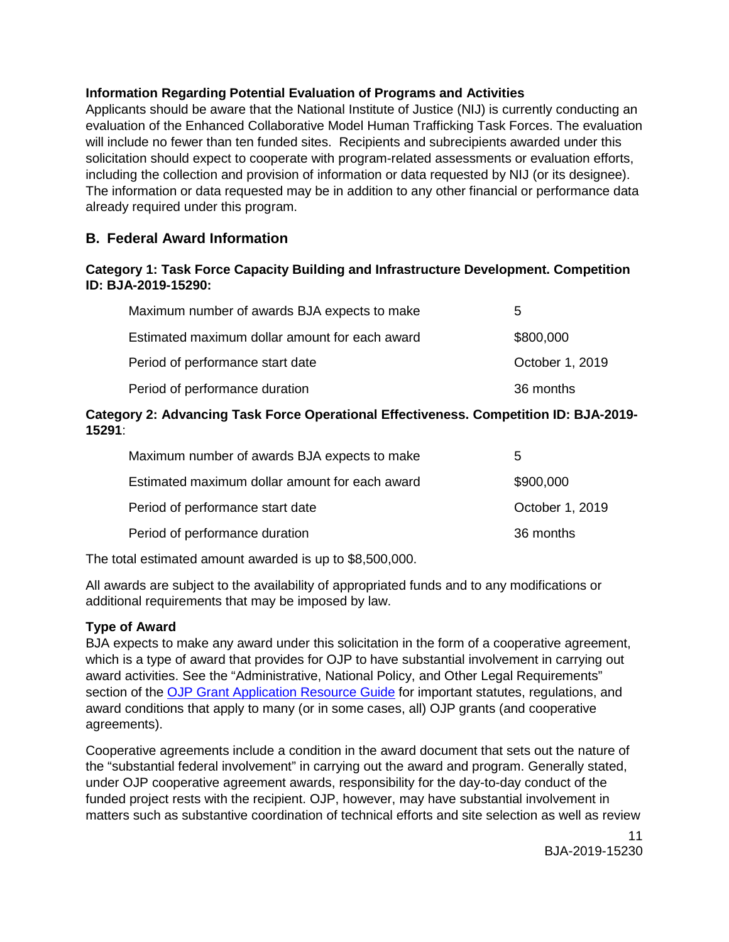# <span id="page-10-0"></span>**Information Regarding Potential Evaluation of Programs and Activities**

Applicants should be aware that the National Institute of Justice (NIJ) is currently conducting an evaluation of the Enhanced Collaborative Model Human Trafficking Task Forces. The evaluation will include no fewer than ten funded sites. Recipients and subrecipients awarded under this solicitation should expect to cooperate with program-related assessments or evaluation efforts, including the collection and provision of information or data requested by NIJ (or its designee). The information or data requested may be in addition to any other financial or performance data already required under this program.

# <span id="page-10-1"></span>**B. Federal Award Information**

#### **Category 1: Task Force Capacity Building and Infrastructure Development. Competition ID: BJA-2019-15290:**

| Maximum number of awards BJA expects to make   | 5               |
|------------------------------------------------|-----------------|
| Estimated maximum dollar amount for each award | \$800,000       |
| Period of performance start date               | October 1, 2019 |
| Period of performance duration                 | 36 months       |

#### **Category 2: Advancing Task Force Operational Effectiveness. Competition ID: BJA-2019- 15291**:

| 5               |
|-----------------|
| \$900,000       |
| October 1, 2019 |
| 36 months       |
|                 |

The total estimated amount awarded is up to \$8,500,000.

All awards are subject to the availability of appropriated funds and to any modifications or additional requirements that may be imposed by law.

#### <span id="page-10-2"></span>**Type of Award**

BJA expects to make any award under this solicitation in the form of a cooperative agreement, which is a type of award that provides for OJP to have substantial involvement in carrying out award activities. See the "Administrative, National Policy, and Other Legal Requirements" section of the [OJP Grant Application Resource Guide](https://ojp.gov/funding/Apply/Resources/Grant-App-Resource-Guide.htm) for important statutes, regulations, and award conditions that apply to many (or in some cases, all) OJP grants (and cooperative agreements).

Cooperative agreements include a condition in the award document that sets out the nature of the "substantial federal involvement" in carrying out the award and program. Generally stated, under OJP cooperative agreement awards, responsibility for the day-to-day conduct of the funded project rests with the recipient. OJP, however, may have substantial involvement in matters such as substantive coordination of technical efforts and site selection as well as review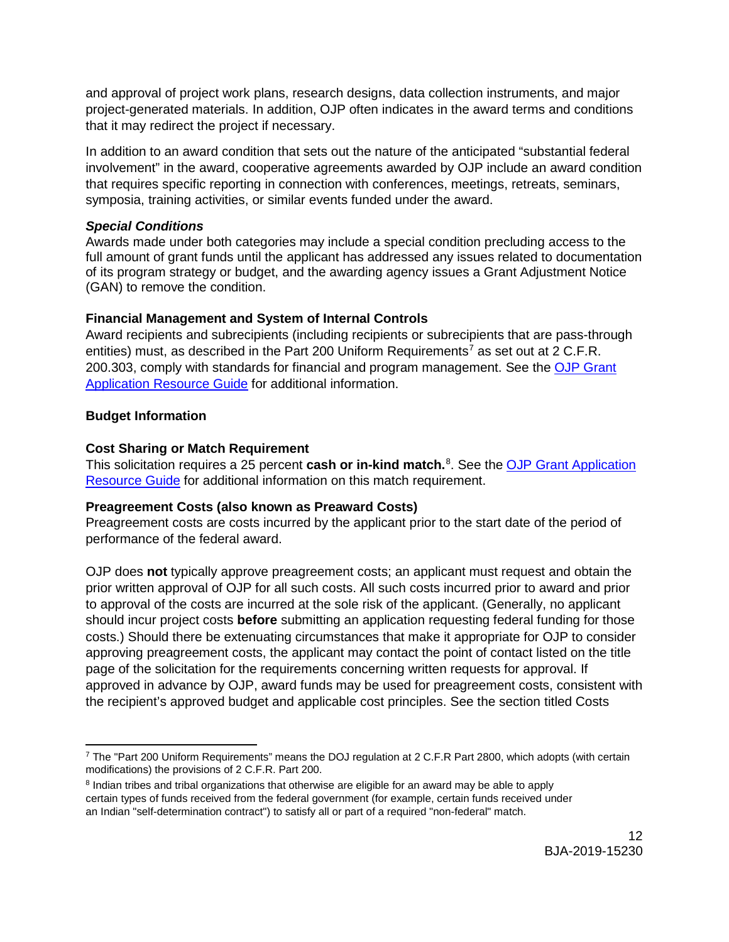and approval of project work plans, research designs, data collection instruments, and major project-generated materials. In addition, OJP often indicates in the award terms and conditions that it may redirect the project if necessary.

In addition to an award condition that sets out the nature of the anticipated "substantial federal involvement" in the award, cooperative agreements awarded by OJP include an award condition that requires specific reporting in connection with conferences, meetings, retreats, seminars, symposia, training activities, or similar events funded under the award.

#### <span id="page-11-0"></span>*Special Conditions*

Awards made under both categories may include a special condition precluding access to the full amount of grant funds until the applicant has addressed any issues related to documentation of its program strategy or budget, and the awarding agency issues a Grant Adjustment Notice (GAN) to remove the condition.

#### **Financial Management and System of Internal Controls**

Award recipients and subrecipients (including recipients or subrecipients that are pass-through entities) must, as described in the Part 200 Uniform Requirements<sup>[7](#page-11-4)</sup> as set out at 2 C.F.R. 200.303, comply with standards for financial and program management. See the OJP Grant [Application Resource Guide](https://www.ojp.gov/funding/Apply/Resources/Grant-App-Resource-Guide.htm) for additional information.

#### <span id="page-11-1"></span>**Budget Information**

#### <span id="page-11-2"></span>**Cost Sharing or Match Requirement**

This solicitation requires a 25 percent **cash or in-kind match.** [8](#page-11-5) . See the [OJP Grant Application](https://www.ojp.gov/funding/Apply/Resources/Grant-App-Resource-Guide.htm)  [Resource Guide](https://www.ojp.gov/funding/Apply/Resources/Grant-App-Resource-Guide.htm) for additional information on this match requirement.

#### <span id="page-11-3"></span>**Preagreement Costs (also known as Preaward Costs)**

Preagreement costs are costs incurred by the applicant prior to the start date of the period of performance of the federal award.

OJP does **not** typically approve preagreement costs; an applicant must request and obtain the prior written approval of OJP for all such costs. All such costs incurred prior to award and prior to approval of the costs are incurred at the sole risk of the applicant. (Generally, no applicant should incur project costs **before** submitting an application requesting federal funding for those costs.) Should there be extenuating circumstances that make it appropriate for OJP to consider approving preagreement costs, the applicant may contact the point of contact listed on the title page of the solicitation for the requirements concerning written requests for approval. If approved in advance by OJP, award funds may be used for preagreement costs, consistent with the recipient's approved budget and applicable cost principles. See the section titled Costs

<span id="page-11-4"></span> $\overline{a}$ <sup>7</sup> The "Part 200 Uniform Requirements" means the DOJ regulation at 2 C.F.R Part 2800, which adopts (with certain modifications) the provisions of 2 C.F.R. Part 200.

<span id="page-11-5"></span><sup>8</sup> Indian tribes and tribal organizations that otherwise are eligible for an award may be able to apply certain types of funds received from the federal government (for example, certain funds received under an Indian "self-determination contract") to satisfy all or part of a required "non-federal" match.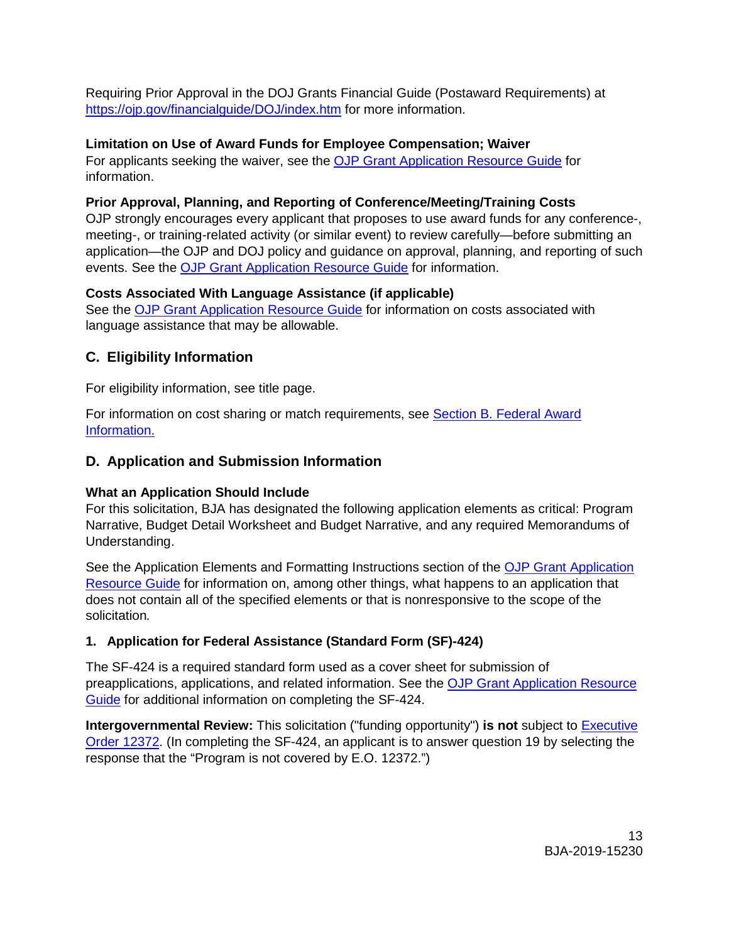Requiring Prior Approval in the DOJ Grants Financial Guide (Postaward Requirements) at <https://ojp.gov/financialguide/DOJ/index.htm> for more information.

# <span id="page-12-0"></span>**Limitation on Use of Award Funds for Employee Compensation; Waiver**

For applicants seeking the waiver, see the [OJP Grant Application Resource Guide](https://www.ojp.gov/funding/Apply/Resources/Grant-App-Resource-Guide.htm) for information.

# <span id="page-12-1"></span>**Prior Approval, Planning, and Reporting of Conference/Meeting/Training Costs**

OJP strongly encourages every applicant that proposes to use award funds for any conference-, meeting-, or training-related activity (or similar event) to review carefully—before submitting an application—the OJP and DOJ policy and guidance on approval, planning, and reporting of such events. See the [OJP Grant Application Resource Guide](https://www.ojp.gov/funding/Apply/Resources/Grant-App-Resource-Guide.htm) for information.

# <span id="page-12-2"></span>**Costs Associated With Language Assistance (if applicable)**

See the [OJP Grant Application Resource Guide](https://www.ojp.gov/funding/Apply/Resources/Grant-App-Resource-Guide.htm) for information on costs associated with language assistance that may be allowable.

# <span id="page-12-3"></span>**C. Eligibility Information**

For eligibility information, see title page.

For information on cost sharing or match requirements, see [Section B. Federal Award](#page-11-2)  [Information.](#page-11-2)

# <span id="page-12-4"></span>**D. Application and Submission Information**

# <span id="page-12-5"></span>**What an Application Should Include**

For this solicitation, BJA has designated the following application elements as critical: Program Narrative, Budget Detail Worksheet and Budget Narrative, and any required Memorandums of Understanding.

See the Application Elements and Formatting Instructions section of the [OJP Grant Application](https://ojp.gov/funding/Apply/Resources/Grant-App-Resource-Guide.htm)  [Resource Guide](https://ojp.gov/funding/Apply/Resources/Grant-App-Resource-Guide.htm) for information on, among other things, what happens to an application that does not contain all of the specified elements or that is nonresponsive to the scope of the solicitation*.*

# **1. Application for Federal Assistance (Standard Form (SF)-424)**

The SF-424 is a required standard form used as a cover sheet for submission of preapplications, applications, and related information. See the [OJP Grant Application Resource](https://www.ojp.gov/funding/Apply/Resources/Grant-App-Resource-Guide.htm)  [Guide](https://www.ojp.gov/funding/Apply/Resources/Grant-App-Resource-Guide.htm) for additional information on completing the SF-424.

**Intergovernmental Review:** This solicitation ("funding opportunity") **is not** subject to [Executive](https://www.archives.gov/federal-register/codification/executive-order/12372.html)  [Order 12372.](https://www.archives.gov/federal-register/codification/executive-order/12372.html) (In completing the SF-424, an applicant is to answer question 19 by selecting the response that the "Program is not covered by E.O. 12372.")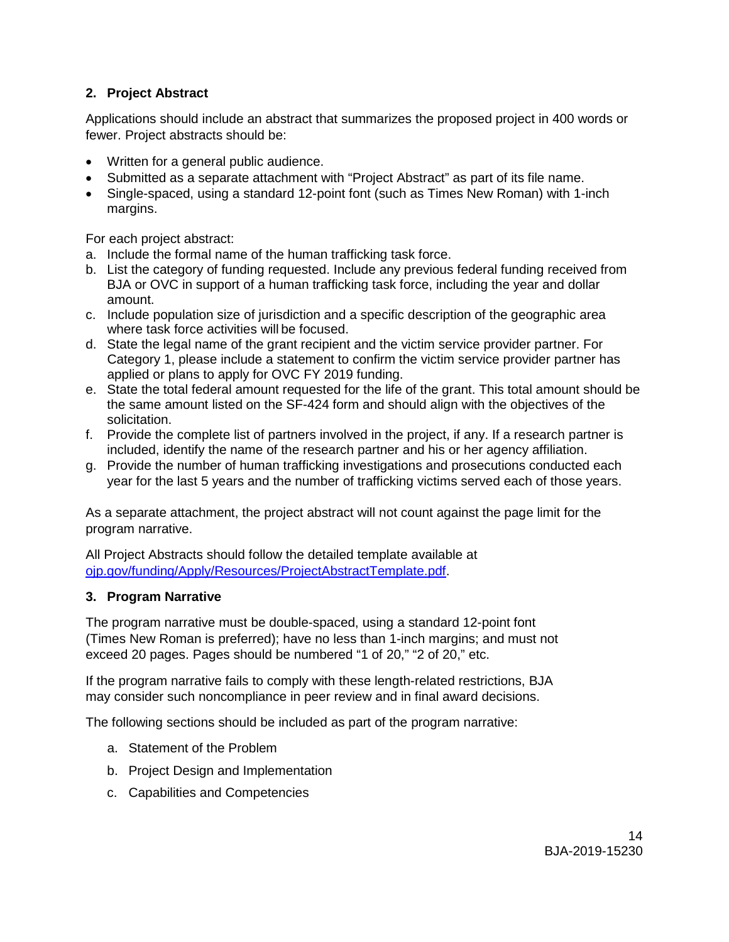# **2. Project Abstract**

Applications should include an abstract that summarizes the proposed project in 400 words or fewer. Project abstracts should be:

- Written for a general public audience.
- Submitted as a separate attachment with "Project Abstract" as part of its file name.
- Single-spaced, using a standard 12-point font (such as Times New Roman) with 1-inch margins.

For each project abstract:

- a. Include the formal name of the human trafficking task force.
- b. List the category of funding requested. Include any previous federal funding received from BJA or OVC in support of a human trafficking task force, including the year and dollar amount.
- c. Include population size of jurisdiction and a specific description of the geographic area where task force activities will be focused.
- d. State the legal name of the grant recipient and the victim service provider partner. For Category 1, please include a statement to confirm the victim service provider partner has applied or plans to apply for OVC FY 2019 funding.
- e. State the total federal amount requested for the life of the grant. This total amount should be the same amount listed on the SF-424 form and should align with the objectives of the solicitation.
- f. Provide the complete list of partners involved in the project, if any. If a research partner is included, identify the name of the research partner and his or her agency affiliation.
- g. Provide the number of human trafficking investigations and prosecutions conducted each year for the last 5 years and the number of trafficking victims served each of those years.

As a separate attachment, the project abstract will not count against the page limit for the program narrative.

All Project Abstracts should follow the detailed template available at [ojp.gov/funding/Apply/Resources/ProjectAbstractTemplate.pdf.](http://ojp.gov/funding/Apply/Resources/ProjectAbstractTemplate.pdf)

# **3. Program Narrative**

The program narrative must be double-spaced, using a standard 12-point font (Times New Roman is preferred); have no less than 1-inch margins; and must not exceed 20 pages. Pages should be numbered "1 of 20," "2 of 20," etc.

If the program narrative fails to comply with these length-related restrictions, BJA may consider such noncompliance in peer review and in final award decisions.

The following sections should be included as part of the program narrative:

- a. Statement of the Problem
- b. Project Design and Implementation
- c. Capabilities and Competencies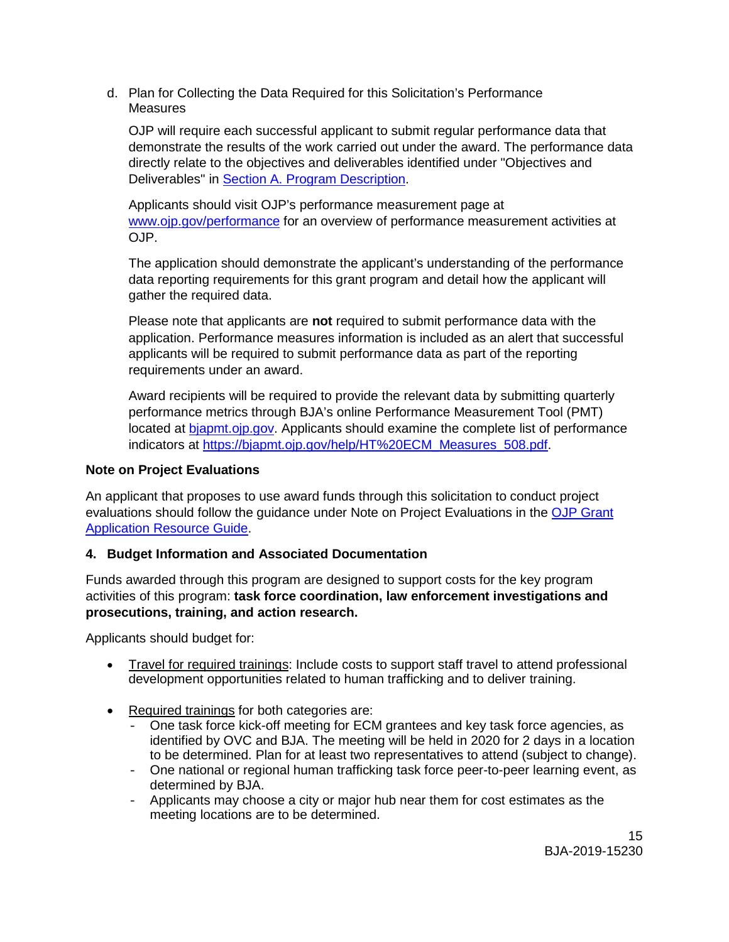d. Plan for Collecting the Data Required for this Solicitation's Performance **Measures** 

OJP will require each successful applicant to submit regular performance data that demonstrate the results of the work carried out under the award. The performance data directly relate to the objectives and deliverables identified under "Objectives and Deliverables" in [Section A. Program Description.](#page-4-3)

Applicants should visit OJP's performance measurement page at [www.ojp.gov/performance](https://www.ojp.gov/performance) for an overview of performance measurement activities at OJP.

The application should demonstrate the applicant's understanding of the performance data reporting requirements for this grant program and detail how the applicant will gather the required data.

Please note that applicants are **not** required to submit performance data with the application. Performance measures information is included as an alert that successful applicants will be required to submit performance data as part of the reporting requirements under an award.

Award recipients will be required to provide the relevant data by submitting quarterly performance metrics through BJA's online Performance Measurement Tool (PMT) located at [bjapmt.ojp.gov.](https://bjapmt.ojp.gov/) Applicants should examine the complete list of performance indicators at [https://bjapmt.ojp.gov/help/HT%20ECM\\_Measures\\_508.pdf.](https://bjapmt.ojp.gov/help/HT%20ECM_Measures_508.pdf)

# **Note on Project Evaluations**

An applicant that proposes to use award funds through this solicitation to conduct project evaluations should follow the guidance under Note on Project Evaluations in the [OJP Grant](https://www.ojp.gov/funding/Apply/Resources/Grant-App-Resource-Guide.htm)  [Application Resource Guide.](https://www.ojp.gov/funding/Apply/Resources/Grant-App-Resource-Guide.htm)

# **4. Budget Information and Associated Documentation**

Funds awarded through this program are designed to support costs for the key program activities of this program: **task force coordination, law enforcement investigations and prosecutions, training, and action research.** 

Applicants should budget for:

- Travel for required trainings: Include costs to support staff travel to attend professional development opportunities related to human trafficking and to deliver training.
- Required trainings for both categories are:
	- One task force kick-off meeting for ECM grantees and key task force agencies, as identified by OVC and BJA. The meeting will be held in 2020 for 2 days in a location to be determined. Plan for at least two representatives to attend (subject to change).
	- One national or regional human trafficking task force peer-to-peer learning event, as determined by BJA.
	- Applicants may choose a city or major hub near them for cost estimates as the meeting locations are to be determined.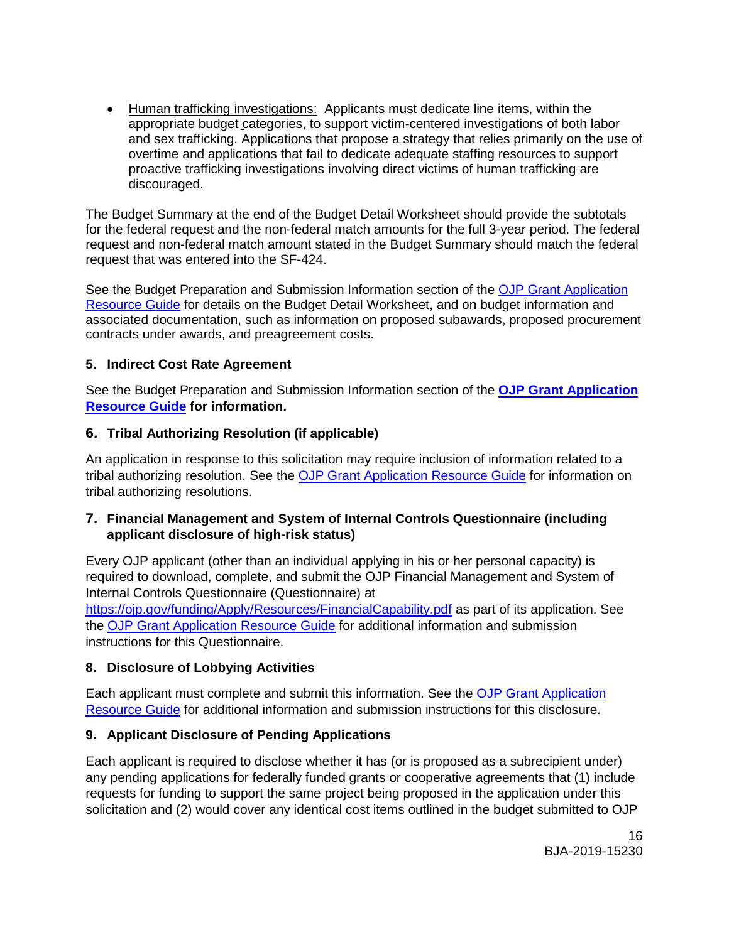• Human trafficking investigations: Applicants must dedicate line items, within the appropriate budget categories, to support victim-centered investigations of both labor and sex trafficking. Applications that propose a strategy that relies primarily on the use of overtime and applications that fail to dedicate adequate staffing resources to support proactive trafficking investigations involving direct victims of human trafficking are discouraged.

The Budget Summary at the end of the Budget Detail Worksheet should provide the subtotals for the federal request and the non-federal match amounts for the full 3-year period. The federal request and non-federal match amount stated in the Budget Summary should match the federal request that was entered into the SF-424.

See the Budget Preparation and Submission Information section of the [OJP Grant Application](https://www.ojp.gov/funding/Apply/Resources/Grant-App-Resource-Guide.htm)  [Resource Guide](https://www.ojp.gov/funding/Apply/Resources/Grant-App-Resource-Guide.htm) for details on the Budget Detail Worksheet, and on budget information and associated documentation, such as information on proposed subawards, proposed procurement contracts under awards, and preagreement costs.

# **5. Indirect Cost Rate Agreement**

See the Budget Preparation and Submission Information section of the **[OJP Grant Application](https://www.ojp.gov/funding/Apply/Resources/Grant-App-Resource-Guide.htm)  [Resource Guide](https://www.ojp.gov/funding/Apply/Resources/Grant-App-Resource-Guide.htm) for information.**

# **6. Tribal Authorizing Resolution (if applicable)**

An application in response to this solicitation may require inclusion of information related to a tribal authorizing resolution. See the [OJP Grant Application Resource Guide](https://www.ojp.gov/funding/Apply/Resources/Grant-App-Resource-Guide.htm) for information on tribal authorizing resolutions.

# **7. Financial Management and System of Internal Controls Questionnaire (including applicant disclosure of high-risk status)**

Every OJP applicant (other than an individual applying in his or her personal capacity) is required to download, complete, and submit the OJP Financial Management and System of Internal Controls Questionnaire (Questionnaire) at

https://oip.gov/funding/Apply/Resources/FinancialCapability.pdf as part of its application. See the [OJP Grant Application Resource Guide](https://www.ojp.gov/funding/Apply/Resources/Grant-App-Resource-Guide.htm) for additional information and submission instructions for this Questionnaire.

#### **8. Disclosure of Lobbying Activities**

Each applicant must complete and submit this information. See the [OJP Grant Application](https://www.ojp.gov/funding/Apply/Resources/Grant-App-Resource-Guide.htm)  [Resource Guide](https://www.ojp.gov/funding/Apply/Resources/Grant-App-Resource-Guide.htm) for additional information and submission instructions for this disclosure.

# **9. Applicant Disclosure of Pending Applications**

Each applicant is required to disclose whether it has (or is proposed as a subrecipient under) any pending applications for federally funded grants or cooperative agreements that (1) include requests for funding to support the same project being proposed in the application under this solicitation and (2) would cover any identical cost items outlined in the budget submitted to OJP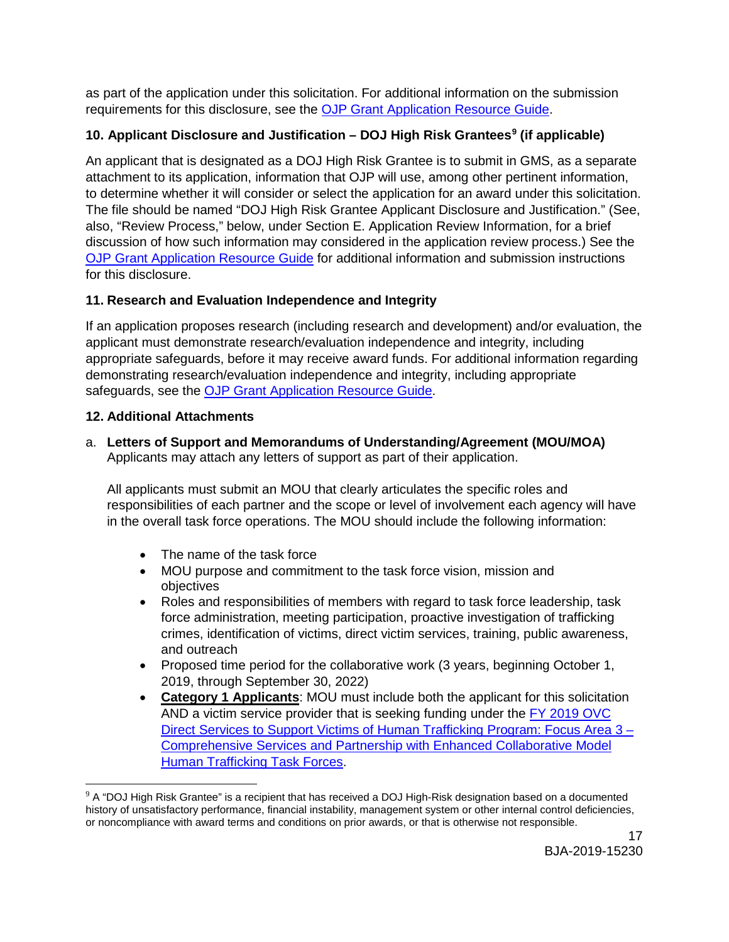as part of the application under this solicitation. For additional information on the submission requirements for this disclosure, see the [OJP Grant Application Resource Guide.](https://www.ojp.gov/funding/Apply/Resources/Grant-App-Resource-Guide.htm)

# **10. Applicant Disclosure and Justification – DOJ High Risk Grantees[9](#page-16-1) (if applicable)**

An applicant that is designated as a DOJ High Risk Grantee is to submit in GMS, as a separate attachment to its application, information that OJP will use, among other pertinent information, to determine whether it will consider or select the application for an award under this solicitation. The file should be named "DOJ High Risk Grantee Applicant Disclosure and Justification." (See, also, "Review Process," below, under Section E. Application Review Information, for a brief discussion of how such information may considered in the application review process.) See the [OJP Grant Application Resource Guide](https://www.ojp.gov/funding/Apply/Resources/Grant-App-Resource-Guide.htm) for additional information and submission instructions for this disclosure.

# **11. Research and Evaluation Independence and Integrity**

If an application proposes research (including research and development) and/or evaluation, the applicant must demonstrate research/evaluation independence and integrity, including appropriate safeguards, before it may receive award funds. For additional information regarding demonstrating research/evaluation independence and integrity, including appropriate safeguards, see the **OJP Grant Application Resource Guide**.

# **12. Additional Attachments**

<span id="page-16-0"></span>a. **Letters of Support and Memorandums of Understanding/Agreement (MOU/MOA)** Applicants may attach any letters of support as part of their application.

All applicants must submit an MOU that clearly articulates the specific roles and responsibilities of each partner and the scope or level of involvement each agency will have in the overall task force operations. The MOU should include the following information:

- The name of the task force
- MOU purpose and commitment to the task force vision, mission and objectives
- Roles and responsibilities of members with regard to task force leadership, task force administration, meeting participation, proactive investigation of trafficking crimes, identification of victims, direct victim services, training, public awareness, and outreach
- Proposed time period for the collaborative work (3 years, beginning October 1, 2019, through September 30, 2022)
- **Category 1 Applicants**: MOU must include both the applicant for this solicitation AND a victim service provider that is seeking funding under the [FY 2019 OVC](https://ovc.ncjrs.gov/Solicitation.aspx)  [Direct Services to Support Victims of Human Trafficking Program: Focus Area 3 –](https://ovc.ncjrs.gov/Solicitation.aspx)  [Comprehensive Services and Partnership with Enhanced Collaborative Model](https://ovc.ncjrs.gov/Solicitation.aspx)  [Human Trafficking Task Forces.](https://ovc.ncjrs.gov/Solicitation.aspx)

<span id="page-16-1"></span> $\overline{a}$  $9$  A "DOJ High Risk Grantee" is a recipient that has received a DOJ High-Risk designation based on a documented history of unsatisfactory performance, financial instability, management system or other internal control deficiencies, or noncompliance with award terms and conditions on prior awards, or that is otherwise not responsible.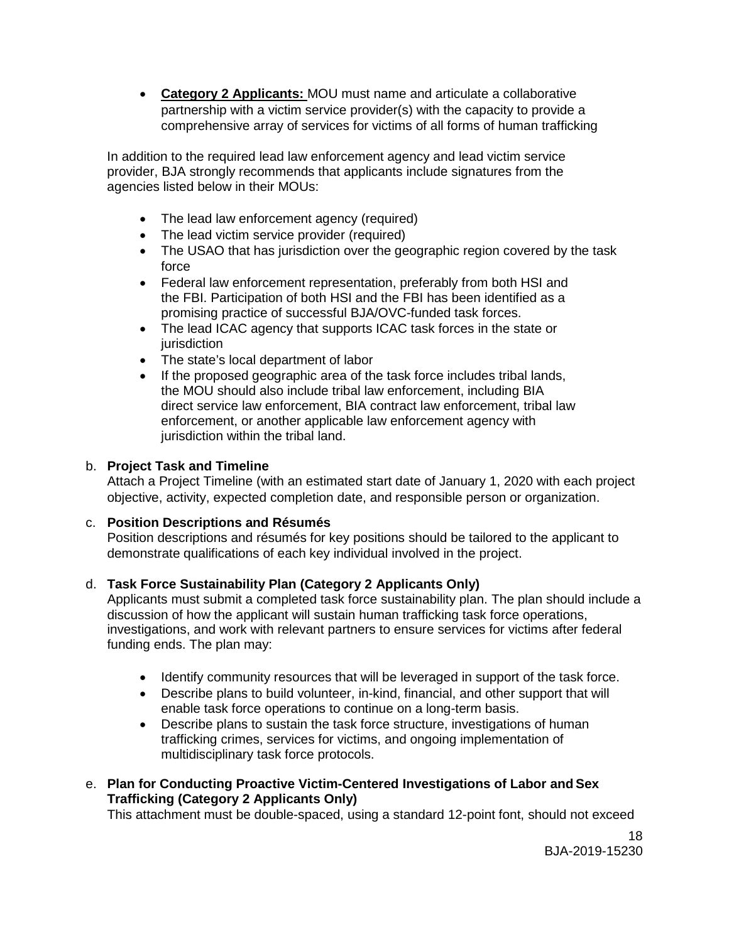• **Category 2 Applicants:** MOU must name and articulate a collaborative partnership with a victim service provider(s) with the capacity to provide a comprehensive array of services for victims of all forms of human trafficking

In addition to the required lead law enforcement agency and lead victim service provider, BJA strongly recommends that applicants include signatures from the agencies listed below in their MOUs:

- The lead law enforcement agency (required)
- The lead victim service provider (required)
- The USAO that has jurisdiction over the geographic region covered by the task force
- Federal law enforcement representation, preferably from both HSI and the FBI. Participation of both HSI and the FBI has been identified as a promising practice of successful BJA/OVC-funded task forces.
- The lead ICAC agency that supports ICAC task forces in the state or jurisdiction
- The state's local department of labor
- If the proposed geographic area of the task force includes tribal lands, the MOU should also include tribal law enforcement, including BIA direct service law enforcement, BIA contract law enforcement, tribal law enforcement, or another applicable law enforcement agency with jurisdiction within the tribal land.

# b. **Project Task and Timeline**

Attach a Project Timeline (with an estimated start date of January 1, 2020 with each project objective, activity, expected completion date, and responsible person or organization.

#### c. **Position Descriptions and Résumés**

Position descriptions and résumés for key positions should be tailored to the applicant to demonstrate qualifications of each key individual involved in the project.

#### d. **Task Force Sustainability Plan (Category 2 Applicants Only)**

Applicants must submit a completed task force sustainability plan. The plan should include a discussion of how the applicant will sustain human trafficking task force operations, investigations, and work with relevant partners to ensure services for victims after federal funding ends. The plan may:

- Identify community resources that will be leveraged in support of the task force.
- Describe plans to build volunteer, in-kind, financial, and other support that will enable task force operations to continue on a long-term basis.
- Describe plans to sustain the task force structure, investigations of human trafficking crimes, services for victims, and ongoing implementation of multidisciplinary task force protocols.
- e. **Plan for Conducting Proactive Victim-Centered Investigations of Labor and Sex Trafficking (Category 2 Applicants Only)**

This attachment must be double-spaced, using a standard 12-point font, should not exceed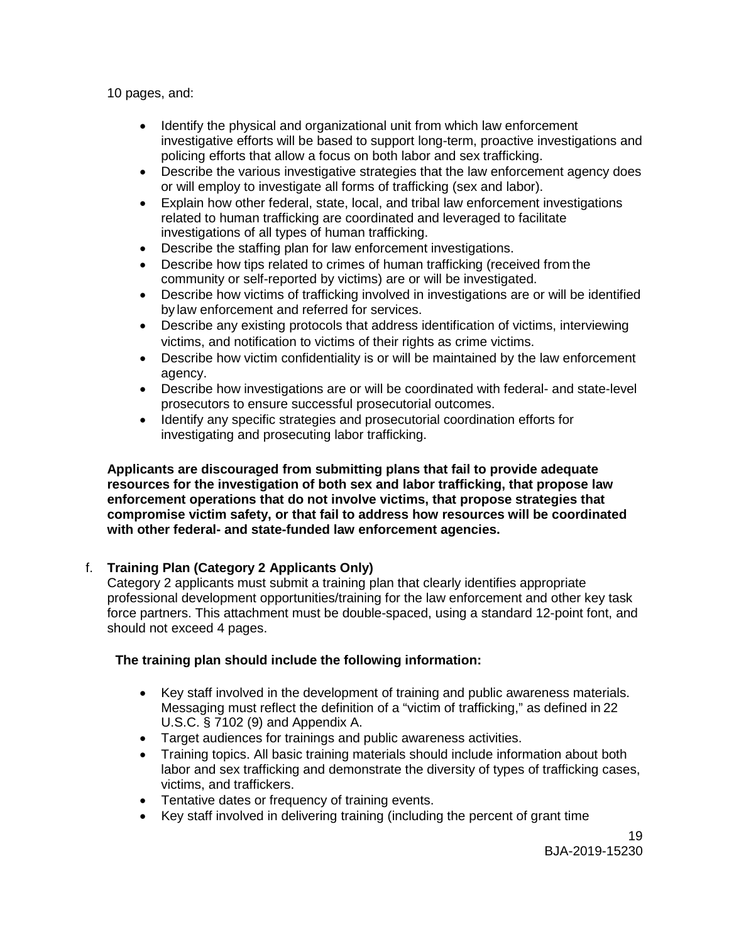10 pages, and:

- Identify the physical and organizational unit from which law enforcement investigative efforts will be based to support long-term, proactive investigations and policing efforts that allow a focus on both labor and sex trafficking.
- Describe the various investigative strategies that the law enforcement agency does or will employ to investigate all forms of trafficking (sex and labor).
- Explain how other federal, state, local, and tribal law enforcement investigations related to human trafficking are coordinated and leveraged to facilitate investigations of all types of human trafficking.
- Describe the staffing plan for law enforcement investigations.
- Describe how tips related to crimes of human trafficking (received from the community or self-reported by victims) are or will be investigated.
- Describe how victims of trafficking involved in investigations are or will be identified by law enforcement and referred for services.
- Describe any existing protocols that address identification of victims, interviewing victims, and notification to victims of their rights as crime victims.
- Describe how victim confidentiality is or will be maintained by the law enforcement agency.
- Describe how investigations are or will be coordinated with federal- and state-level prosecutors to ensure successful prosecutorial outcomes.
- Identify any specific strategies and prosecutorial coordination efforts for investigating and prosecuting labor trafficking.

**Applicants are discouraged from submitting plans that fail to provide adequate resources for the investigation of both sex and labor trafficking, that propose law enforcement operations that do not involve victims, that propose strategies that compromise victim safety, or that fail to address how resources will be coordinated with other federal- and state-funded law enforcement agencies.**

# f. **Training Plan (Category 2 Applicants Only)**

Category 2 applicants must submit a training plan that clearly identifies appropriate professional development opportunities/training for the law enforcement and other key task force partners. This attachment must be double-spaced, using a standard 12-point font, and should not exceed 4 pages.

# **The training plan should include the following information:**

- Key staff involved in the development of training and public awareness materials. Messaging must reflect the definition of a "victim of trafficking," as defined in 22 U.S.C. § 7102 (9) and Appendix A.
- Target audiences for trainings and public awareness activities.
- Training topics. All basic training materials should include information about both labor and sex trafficking and demonstrate the diversity of types of trafficking cases, victims, and traffickers.
- Tentative dates or frequency of training events.
- Key staff involved in delivering training (including the percent of grant time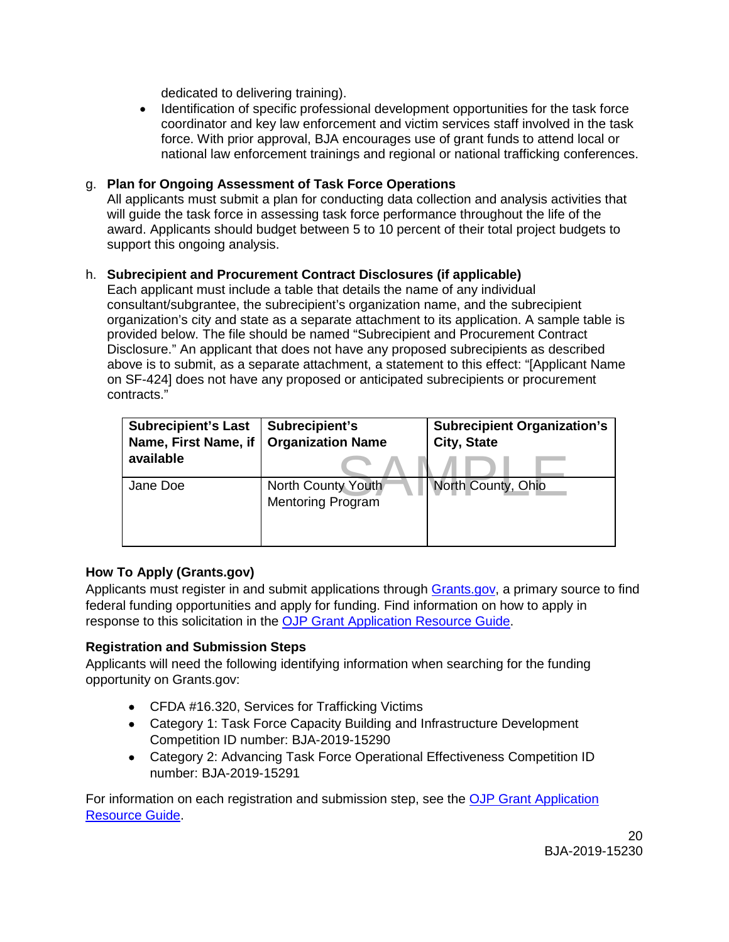dedicated to delivering training).

• Identification of specific professional development opportunities for the task force coordinator and key law enforcement and victim services staff involved in the task force. With prior approval, BJA encourages use of grant funds to attend local or national law enforcement trainings and regional or national trafficking conferences.

# g. **Plan for Ongoing Assessment of Task Force Operations**

All applicants must submit a plan for conducting data collection and analysis activities that will guide the task force in assessing task force performance throughout the life of the award. Applicants should budget between 5 to 10 percent of their total project budgets to support this ongoing analysis.

#### h. **Subrecipient and Procurement Contract Disclosures (if applicable)**

Each applicant must include a table that details the name of any individual consultant/subgrantee, the subrecipient's organization name, and the subrecipient organization's city and state as a separate attachment to its application. A sample table is provided below. The file should be named "Subrecipient and Procurement Contract Disclosure." An applicant that does not have any proposed subrecipients as described above is to submit, as a separate attachment, a statement to this effect: "[Applicant Name on SF-424] does not have any proposed or anticipated subrecipients or procurement contracts."

| <b>Subrecipient's Last</b><br>Name, First Name, if<br>available | Subrecipient's<br><b>Organization Name</b>     | <b>Subrecipient Organization's</b><br><b>City, State</b> |
|-----------------------------------------------------------------|------------------------------------------------|----------------------------------------------------------|
| Jane Doe                                                        | North County Youth<br><b>Mentoring Program</b> | North County, Ohio                                       |

#### **How To Apply (Grants.gov)**

Applicants must register in and submit applications through [Grants.gov,](https://www.grants.gov/) a primary source to find federal funding opportunities and apply for funding. Find information on how to apply in response to this solicitation in the [OJP Grant Application Resource Guide.](https://www.ojp.gov/funding/Apply/Resources/Grant-App-Resource-Guide.htm)

#### <span id="page-19-0"></span>**Registration and Submission Steps**

Applicants will need the following identifying information when searching for the funding opportunity on Grants.gov:

- CFDA #16.320, Services for Trafficking Victims
- Category 1: Task Force Capacity Building and Infrastructure Development Competition ID number: BJA-2019-15290
- Category 2: Advancing Task Force Operational Effectiveness Competition ID number: BJA-2019-15291

For information on each registration and submission step, see the [OJP Grant Application](https://www.ojp.gov/funding/Apply/Resources/Grant-App-Resource-Guide.htm)  [Resource Guide.](https://www.ojp.gov/funding/Apply/Resources/Grant-App-Resource-Guide.htm)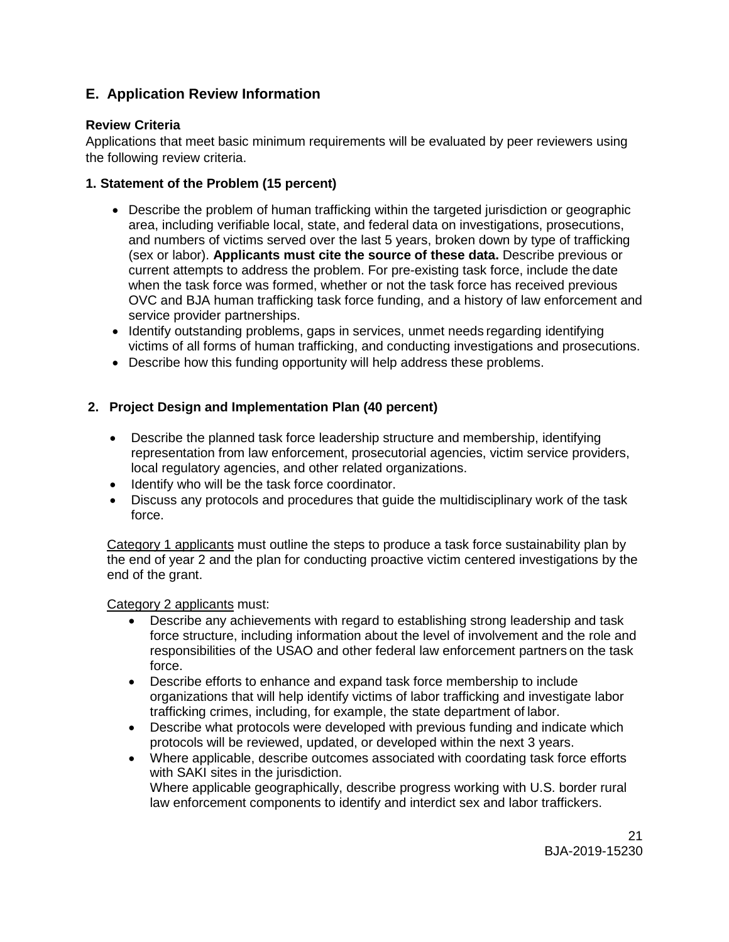# <span id="page-20-0"></span>**E. Application Review Information**

#### <span id="page-20-1"></span>**Review Criteria**

Applications that meet basic minimum requirements will be evaluated by peer reviewers using the following review criteria.

# <span id="page-20-2"></span>**1. Statement of the Problem (15 percent)**

- Describe the problem of human trafficking within the targeted jurisdiction or geographic area, including verifiable local, state, and federal data on investigations, prosecutions, and numbers of victims served over the last 5 years, broken down by type of trafficking (sex or labor). **Applicants must cite the source of these data.** Describe previous or current attempts to address the problem. For pre-existing task force, include the date when the task force was formed, whether or not the task force has received previous OVC and BJA human trafficking task force funding, and a history of law enforcement and service provider partnerships.
- Identify outstanding problems, gaps in services, unmet needs regarding identifying victims of all forms of human trafficking, and conducting investigations and prosecutions.
- Describe how this funding opportunity will help address these problems.

# **2. Project Design and Implementation Plan (40 percent)**

- Describe the planned task force leadership structure and membership, identifying representation from law enforcement, prosecutorial agencies, victim service providers, local regulatory agencies, and other related organizations.
- Identify who will be the task force coordinator.
- Discuss any protocols and procedures that guide the multidisciplinary work of the task force.

Category 1 applicants must outline the steps to produce a task force sustainability plan by the end of year 2 and the plan for conducting proactive victim centered investigations by the end of the grant.

Category 2 applicants must:

- Describe any achievements with regard to establishing strong leadership and task force structure, including information about the level of involvement and the role and responsibilities of the USAO and other federal law enforcement partners on the task force.
- Describe efforts to enhance and expand task force membership to include organizations that will help identify victims of labor trafficking and investigate labor trafficking crimes, including, for example, the state department of labor.
- Describe what protocols were developed with previous funding and indicate which protocols will be reviewed, updated, or developed within the next 3 years.
- Where applicable, describe outcomes associated with coordating task force efforts with SAKI sites in the jurisdiction. Where applicable geographically, describe progress working with U.S. border rural law enforcement components to identify and interdict sex and labor traffickers.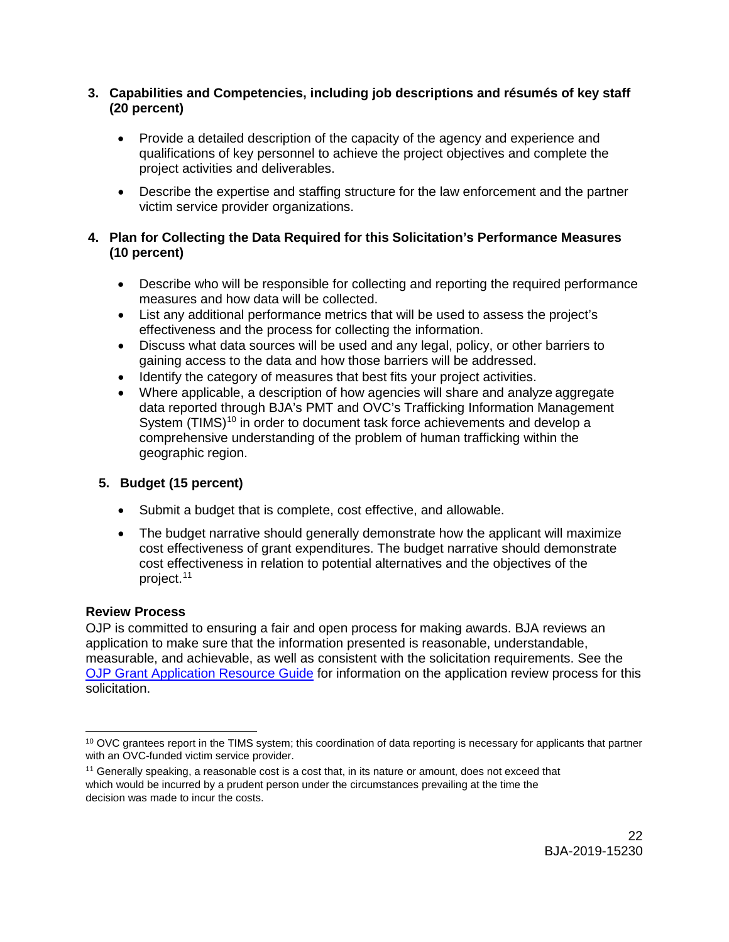# **3. Capabilities and Competencies, including job descriptions and résumés of key staff (20 percent)**

- Provide a detailed description of the capacity of the agency and experience and qualifications of key personnel to achieve the project objectives and complete the project activities and deliverables.
- Describe the expertise and staffing structure for the law enforcement and the partner victim service provider organizations.

# **4. Plan for Collecting the Data Required for this Solicitation's Performance Measures (10 percent)**

- Describe who will be responsible for collecting and reporting the required performance measures and how data will be collected.
- List any additional performance metrics that will be used to assess the project's effectiveness and the process for collecting the information.
- Discuss what data sources will be used and any legal, policy, or other barriers to gaining access to the data and how those barriers will be addressed.
- Identify the category of measures that best fits your project activities.
- Where applicable, a description of how agencies will share and analyze aggregate data reported through BJA's PMT and OVC's Trafficking Information Management System (TIMS)<sup>[10](#page-21-0)</sup> in order to document task force achievements and develop a comprehensive understanding of the problem of human trafficking within the geographic region.

# **5. Budget (15 percent)**

- Submit a budget that is complete, cost effective, and allowable.
- The budget narrative should generally demonstrate how the applicant will maximize cost effectiveness of grant expenditures. The budget narrative should demonstrate cost effectiveness in relation to potential alternatives and the objectives of the project. [11](#page-21-1)

#### **Review Process**

OJP is committed to ensuring a fair and open process for making awards. BJA reviews an application to make sure that the information presented is reasonable, understandable, measurable, and achievable, as well as consistent with the solicitation requirements. See the [OJP Grant Application Resource Guide](https://www.ojp.gov/funding/Apply/Resources/Grant-App-Resource-Guide.htm) for information on the application review process for this solicitation.

<span id="page-21-0"></span> $\ddot{ }$  $10$  OVC grantees report in the TIMS system; this coordination of data reporting is necessary for applicants that partner with an OVC-funded victim service provider.

<span id="page-21-1"></span><sup>&</sup>lt;sup>11</sup> Generally speaking, a reasonable cost is a cost that, in its nature or amount, does not exceed that which would be incurred by a prudent person under the circumstances prevailing at the time the decision was made to incur the costs.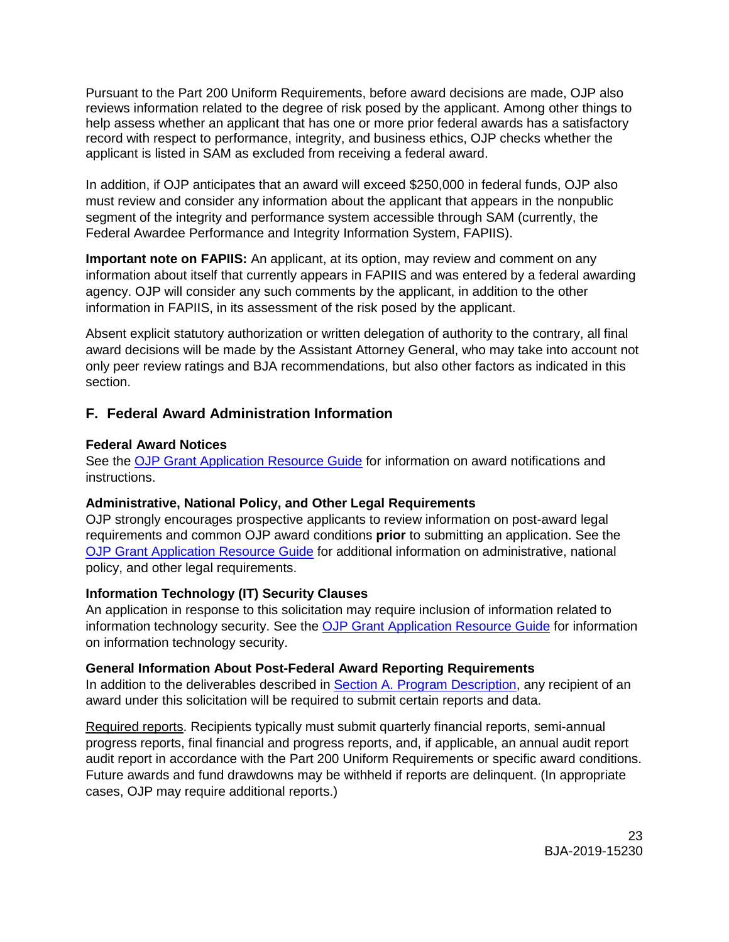Pursuant to the Part 200 Uniform Requirements, before award decisions are made, OJP also reviews information related to the degree of risk posed by the applicant. Among other things to help assess whether an applicant that has one or more prior federal awards has a satisfactory record with respect to performance, integrity, and business ethics, OJP checks whether the applicant is listed in SAM as excluded from receiving a federal award.

In addition, if OJP anticipates that an award will exceed \$250,000 in federal funds, OJP also must review and consider any information about the applicant that appears in the nonpublic segment of the integrity and performance system accessible through SAM (currently, the Federal Awardee Performance and Integrity Information System, FAPIIS).

**Important note on FAPIIS:** An applicant, at its option, may review and comment on any information about itself that currently appears in FAPIIS and was entered by a federal awarding agency. OJP will consider any such comments by the applicant, in addition to the other information in FAPIIS, in its assessment of the risk posed by the applicant.

Absent explicit statutory authorization or written delegation of authority to the contrary, all final award decisions will be made by the Assistant Attorney General, who may take into account not only peer review ratings and BJA recommendations, but also other factors as indicated in this section.

# <span id="page-22-0"></span>**F. Federal Award Administration Information**

# <span id="page-22-1"></span>**Federal Award Notices**

See the [OJP Grant Application Resource Guide](https://www.ojp.gov/funding/Apply/Resources/Grant-App-Resource-Guide.htm) for information on award notifications and instructions.

# <span id="page-22-2"></span>**Administrative, National Policy, and Other Legal Requirements**

OJP strongly encourages prospective applicants to review information on post-award legal requirements and common OJP award conditions **prior** to submitting an application. See the [OJP Grant Application Resource Guide](https://www.ojp.gov/funding/Apply/Resources/Grant-App-Resource-Guide.htm) for additional information on administrative, national policy, and other legal requirements.

# <span id="page-22-3"></span>**Information Technology (IT) Security Clauses**

An application in response to this solicitation may require inclusion of information related to information technology security. See the [OJP Grant Application Resource Guide](https://www.ojp.gov/funding/Apply/Resources/Grant-App-Resource-Guide.htm) for information on information technology security.

#### <span id="page-22-4"></span>**General Information About Post-Federal Award Reporting Requirements**

In addition to the deliverables described in [Section A. Program Description,](#page-4-3) any recipient of an award under this solicitation will be required to submit certain reports and data.

Required reports. Recipients typically must submit quarterly financial reports, semi-annual progress reports, final financial and progress reports, and, if applicable, an annual audit report audit report in accordance with the Part 200 Uniform Requirements or specific award conditions. Future awards and fund drawdowns may be withheld if reports are delinquent. (In appropriate cases, OJP may require additional reports.)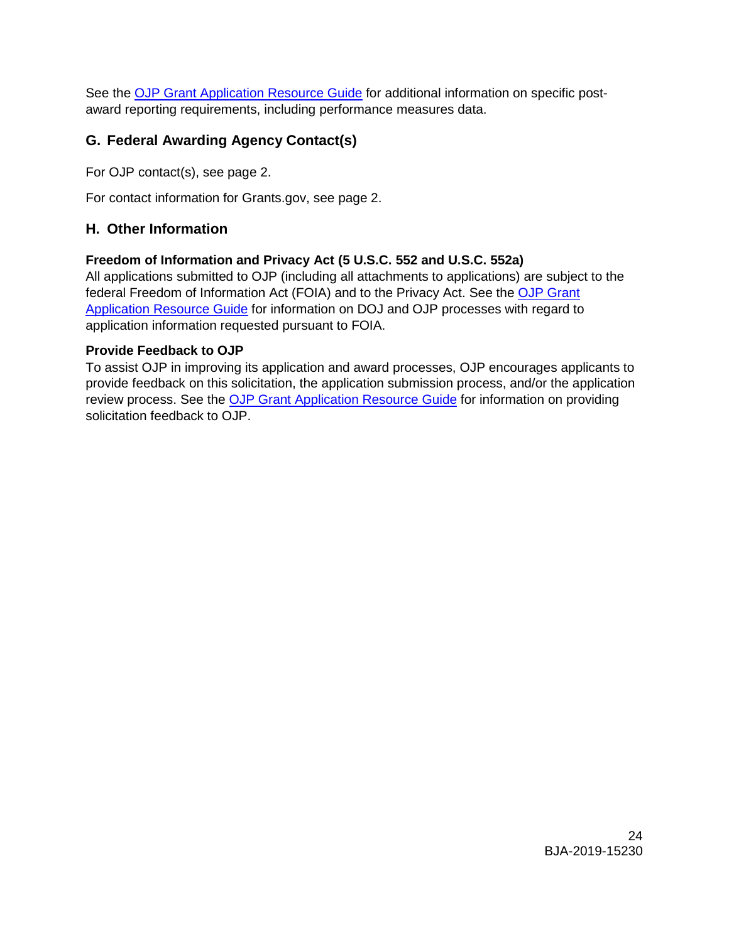See the [OJP Grant Application Resource Guide](https://www.ojp.gov/funding/Apply/Resources/Grant-App-Resource-Guide.htm) for additional information on specific postaward reporting requirements, including performance measures data.

# <span id="page-23-0"></span>**G. Federal Awarding Agency Contact(s)**

For OJP contact(s), see page 2.

For contact information for Grants.gov, see page 2.

# <span id="page-23-1"></span>**H. Other Information**

#### <span id="page-23-2"></span>**Freedom of Information and Privacy Act (5 U.S.C. 552 and U.S.C. 552a)**

All applications submitted to OJP (including all attachments to applications) are subject to the federal Freedom of Information Act (FOIA) and to the Privacy Act. See the OJP Grant [Application Resource Guide](https://www.ojp.gov/funding/Apply/Resources/Grant-App-Resource-Guide.htm) for information on DOJ and OJP processes with regard to application information requested pursuant to FOIA.

#### <span id="page-23-3"></span>**Provide Feedback to OJP**

To assist OJP in improving its application and award processes, OJP encourages applicants to provide feedback on this solicitation, the application submission process, and/or the application review process. See the [OJP Grant Application Resource Guide](https://www.ojp.gov/funding/Apply/Resources/Grant-App-Resource-Guide.htm) for information on providing solicitation feedback to OJP.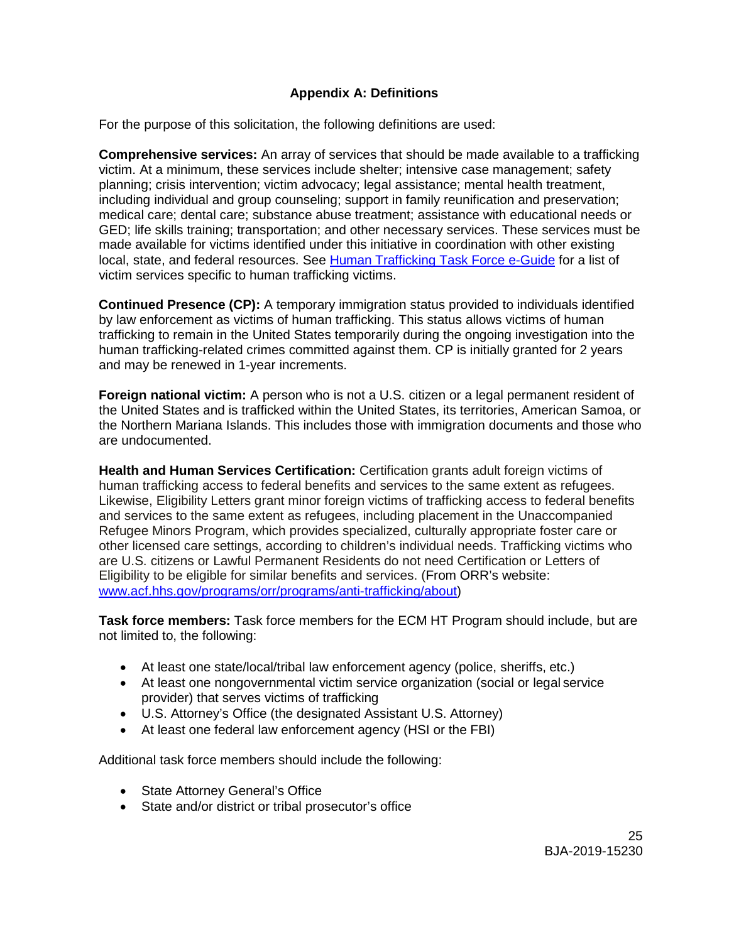# **Appendix A: Definitions**

<span id="page-24-0"></span>For the purpose of this solicitation, the following definitions are used:

**Comprehensive services:** An array of services that should be made available to a trafficking victim. At a minimum, these services include shelter; intensive case management; safety planning; crisis intervention; victim advocacy; legal assistance; mental health treatment, including individual and group counseling; support in family reunification and preservation; medical care; dental care; substance abuse treatment; assistance with educational needs or GED; life skills training; transportation; and other necessary services. These services must be made available for victims identified under this initiative in coordination with other existing local, state, and federal resources. See [Human Trafficking Task Force e-Guide](https://www.ovcttac.gov/taskforceguide/eguide/4-supporting-victims/42-victim-service-provider-intake-and-needs-assessment/) for a list of victim services specific to human trafficking victims.

**Continued Presence (CP):** A temporary immigration status provided to individuals identified by law enforcement as victims of human trafficking. This status allows victims of human trafficking to remain in the United States temporarily during the ongoing investigation into the human trafficking-related crimes committed against them. CP is initially granted for 2 years and may be renewed in 1-year increments.

**Foreign national victim:** A person who is not a U.S. citizen or a legal permanent resident of the United States and is trafficked within the United States, its territories, American Samoa, or the Northern Mariana Islands. This includes those with immigration documents and those who are undocumented.

**Health and Human Services Certification:** Certification grants adult foreign victims of human trafficking access to federal benefits and services to the same extent as refugees. Likewise, Eligibility Letters grant minor foreign victims of trafficking access to federal benefits and services to the same extent as refugees, including placement in the Unaccompanied Refugee Minors Program, which provides specialized, culturally appropriate foster care or other licensed care settings, according to children's individual needs. Trafficking victims who are U.S. citizens or Lawful Permanent Residents do not need Certification or Letters of Eligibility to be eligible for similar benefits and services. (From ORR's website: [www.acf.hhs.gov/programs/orr/programs/anti-trafficking/about\)](http://www.acf.hhs.gov/programs/orr/programs/anti-trafficking/about)

**Task force members:** Task force members for the ECM HT Program should include, but are not limited to, the following:

- At least one state/local/tribal law enforcement agency (police, sheriffs, etc.)
- At least one nongovernmental victim service organization (social or legal service provider) that serves victims of trafficking
- U.S. Attorney's Office (the designated Assistant U.S. Attorney)
- At least one federal law enforcement agency (HSI or the FBI)

Additional task force members should include the following:

- State Attorney General's Office
- State and/or district or tribal prosecutor's office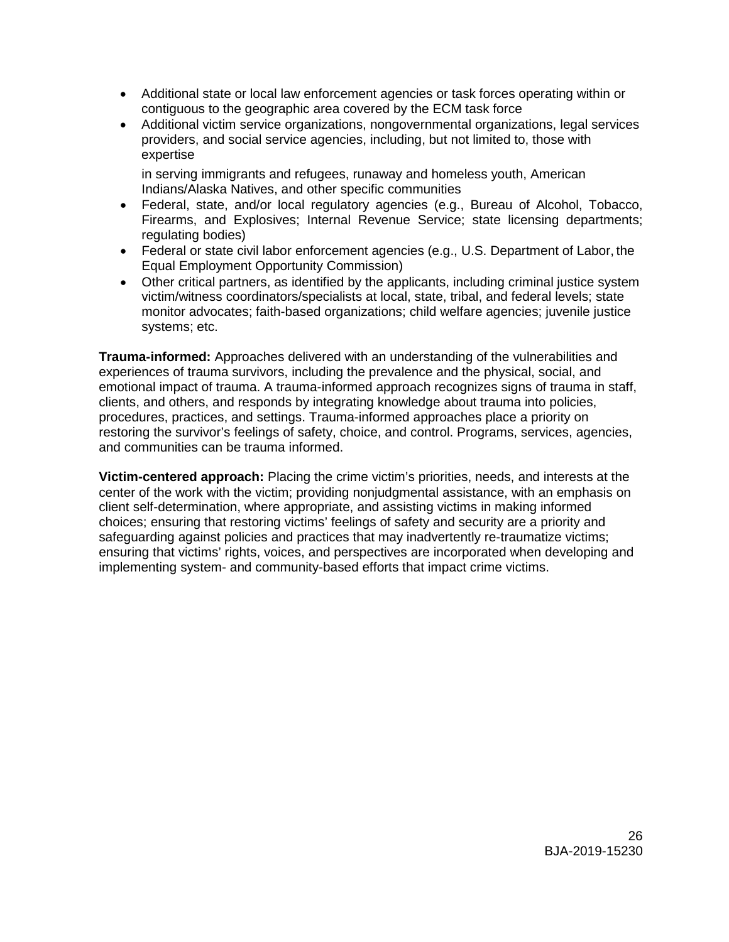- Additional state or local law enforcement agencies or task forces operating within or contiguous to the geographic area covered by the ECM task force
- Additional victim service organizations, nongovernmental organizations, legal services providers, and social service agencies, including, but not limited to, those with expertise

in serving immigrants and refugees, runaway and homeless youth, American Indians/Alaska Natives, and other specific communities

- Federal, state, and/or local regulatory agencies (e.g., Bureau of Alcohol, Tobacco, Firearms, and Explosives; Internal Revenue Service; state licensing departments; regulating bodies)
- Federal or state civil labor enforcement agencies (e.g., U.S. Department of Labor, the Equal Employment Opportunity Commission)
- Other critical partners, as identified by the applicants, including criminal justice system victim/witness coordinators/specialists at local, state, tribal, and federal levels; state monitor advocates; faith-based organizations; child welfare agencies; juvenile justice systems; etc.

**Trauma-informed:** Approaches delivered with an understanding of the vulnerabilities and experiences of trauma survivors, including the prevalence and the physical, social, and emotional impact of trauma. A trauma-informed approach recognizes signs of trauma in staff, clients, and others, and responds by integrating knowledge about trauma into policies, procedures, practices, and settings. Trauma-informed approaches place a priority on restoring the survivor's feelings of safety, choice, and control. Programs, services, agencies, and communities can be trauma informed.

**Victim-centered approach:** Placing the crime victim's priorities, needs, and interests at the center of the work with the victim; providing nonjudgmental assistance, with an emphasis on client self-determination, where appropriate, and assisting victims in making informed choices; ensuring that restoring victims' feelings of safety and security are a priority and safeguarding against policies and practices that may inadvertently re-traumatize victims; ensuring that victims' rights, voices, and perspectives are incorporated when developing and implementing system- and community-based efforts that impact crime victims.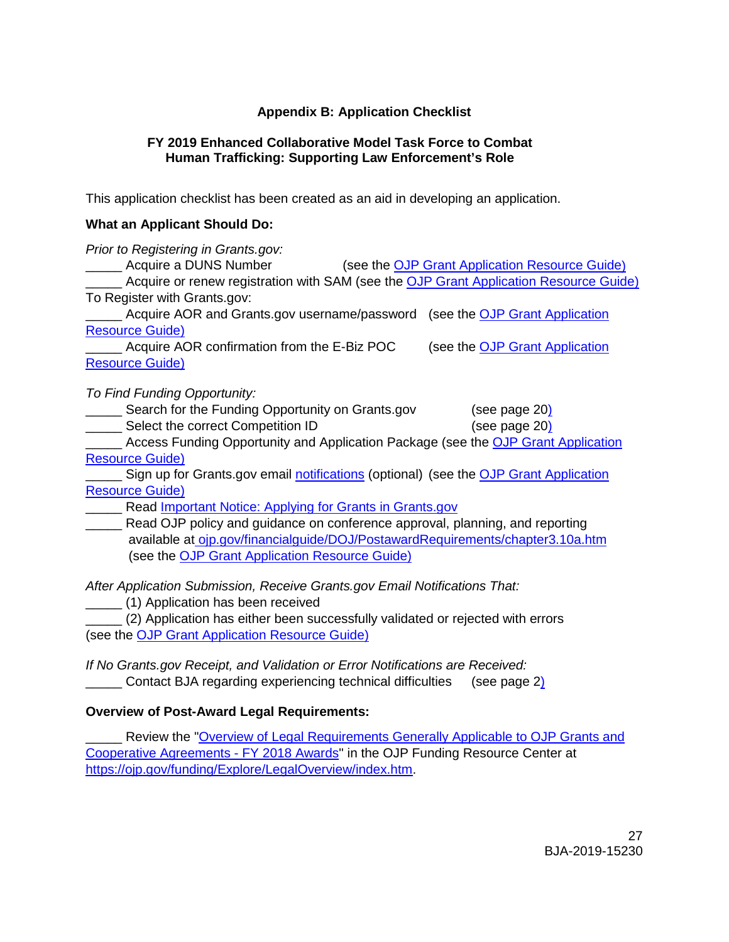# **Appendix B: Application Checklist**

#### <span id="page-26-0"></span>**FY 2019 Enhanced Collaborative Model Task Force to Combat Human Trafficking: Supporting Law Enforcement's Role**

This application checklist has been created as an aid in developing an application.

# **What an Applicant Should Do:**

| Prior to Registering in Grants.gov:                                                                                                                                                                                                                                                    |  |  |  |
|----------------------------------------------------------------------------------------------------------------------------------------------------------------------------------------------------------------------------------------------------------------------------------------|--|--|--|
| Acquire a DUNS Number (see the OJP Grant Application Resource Guide)                                                                                                                                                                                                                   |  |  |  |
| Acquire or renew registration with SAM (see the OJP Grant Application Resource Guide)                                                                                                                                                                                                  |  |  |  |
| To Register with Grants.gov:                                                                                                                                                                                                                                                           |  |  |  |
| Acquire AOR and Grants.gov username/password (see the OJP Grant Application                                                                                                                                                                                                            |  |  |  |
| <b>Resource Guide)</b>                                                                                                                                                                                                                                                                 |  |  |  |
| Acquire AOR confirmation from the E-Biz POC<br>(see the <b>OJP Grant Application</b>                                                                                                                                                                                                   |  |  |  |
| <b>Resource Guide)</b>                                                                                                                                                                                                                                                                 |  |  |  |
| To Find Funding Opportunity:<br>Search for the Funding Opportunity on Grants.gov<br>(see page 20)<br>Select the correct Competition ID<br>(see page 20)<br><b>EXECUTE:</b> Access Funding Opportunity and Application Package (see the OJP Grant Application<br><b>Resource Guide)</b> |  |  |  |
| Sign up for Grants.gov email notifications (optional) (see the OJP Grant Application                                                                                                                                                                                                   |  |  |  |
| <b>Resource Guide)</b>                                                                                                                                                                                                                                                                 |  |  |  |
| Read Important Notice: Applying for Grants in Grants.gov                                                                                                                                                                                                                               |  |  |  |
| _____ Read OJP policy and guidance on conference approval, planning, and reporting                                                                                                                                                                                                     |  |  |  |
| available at oip.gov/financialguide/DOJ/PostawardRequirements/chapter3.10a.htm                                                                                                                                                                                                         |  |  |  |
| (see the OJP Grant Application Resource Guide)                                                                                                                                                                                                                                         |  |  |  |
|                                                                                                                                                                                                                                                                                        |  |  |  |

*After Application Submission, Receive Grants.gov Email Notifications That:*

\_\_\_\_\_ (1) Application has been received

\_\_\_\_\_ (2) Application has either been successfully validated or rejected with errors (see the [OJP Grant Application Resource Guide\)](https://www.ojp.gov/funding/Apply/Resources/Grant-App-Resource-Guide.htm)

*If No Grants.gov Receipt, and Validation or Error Notifications are Received:* \_\_\_\_\_ Contact BJA regarding experiencing technical difficulties (see page 2)

# **Overview of Post-Award Legal Requirements:**

Review the "Overview of Legal Requirements Generally Applicable to OJP Grants and [Cooperative Agreements -](https://ojp.gov/funding/Explore/LegalOverview/index.htm) FY 2018 Awards" in the OJP Funding Resource Center at [https://ojp.gov/funding/Explore/LegalOverview/index.htm.](https://ojp.gov/funding/Explore/LegalOverview/index.htm)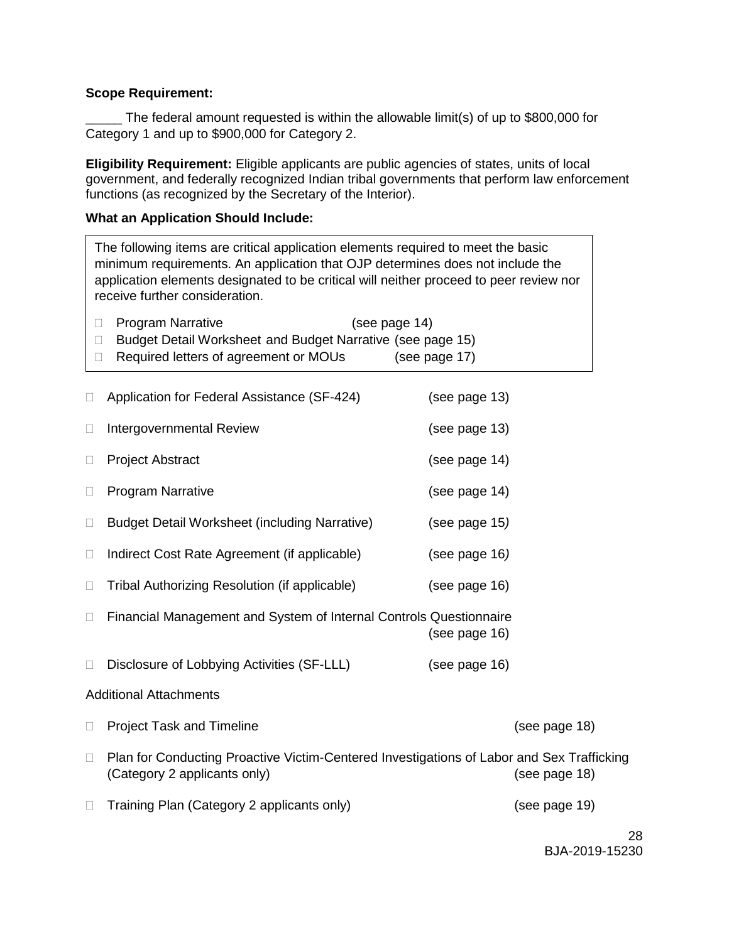#### **Scope Requirement:**

The federal amount requested is within the allowable limit(s) of up to \$800,000 for Category 1 and up to \$900,000 for Category 2.

**Eligibility Requirement:** Eligible applicants are public agencies of states, units of local government, and federally recognized Indian tribal governments that perform law enforcement functions (as recognized by the Secretary of the Interior).

#### **What an Application Should Include:**

The following items are critical application elements required to meet the basic minimum requirements. An application that OJP determines does not include the application elements designated to be critical will neither proceed to peer review nor receive further consideration.

|        | <b>Program Narrative</b><br>(see page 14)                                                                                 |               |
|--------|---------------------------------------------------------------------------------------------------------------------------|---------------|
| П      | Budget Detail Worksheet and Budget Narrative (see page 15)                                                                |               |
| □      | Required letters of agreement or MOUs                                                                                     | (see page 17) |
| $\Box$ | Application for Federal Assistance (SF-424)                                                                               | (see page 13) |
| $\Box$ | <b>Intergovernmental Review</b>                                                                                           | (see page 13) |
| $\Box$ | <b>Project Abstract</b>                                                                                                   | (see page 14) |
| $\Box$ | <b>Program Narrative</b>                                                                                                  | (see page 14) |
| $\Box$ | <b>Budget Detail Worksheet (including Narrative)</b>                                                                      | (see page 15) |
| $\Box$ | Indirect Cost Rate Agreement (if applicable)                                                                              | (see page 16) |
| $\Box$ | Tribal Authorizing Resolution (if applicable)                                                                             | (see page 16) |
| $\Box$ | Financial Management and System of Internal Controls Questionnaire                                                        | (see page 16) |
| $\Box$ | Disclosure of Lobbying Activities (SF-LLL)                                                                                | (see page 16) |
|        | <b>Additional Attachments</b>                                                                                             |               |
| □      | <b>Project Task and Timeline</b>                                                                                          | (see page 18) |
| □      | Plan for Conducting Proactive Victim-Centered Investigations of Labor and Sex Trafficking<br>(Category 2 applicants only) | (see page 18) |
| □      | Training Plan (Category 2 applicants only)                                                                                | (see page 19) |